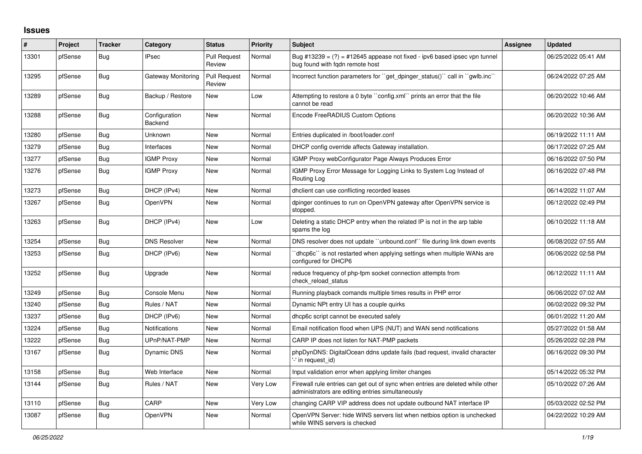## **Issues**

| #     | Project | <b>Tracker</b> | Category                  | <b>Status</b>                 | Priority | <b>Subject</b>                                                                                                                      | <b>Assignee</b> | <b>Updated</b>      |
|-------|---------|----------------|---------------------------|-------------------------------|----------|-------------------------------------------------------------------------------------------------------------------------------------|-----------------|---------------------|
| 13301 | pfSense | Bug            | <b>IPsec</b>              | <b>Pull Request</b><br>Review | Normal   | Bug #13239 = $(?)$ = #12645 appease not fixed - ipv6 based ipsec vpn tunnel<br>bug found with fgdn remote host                      |                 | 06/25/2022 05:41 AM |
| 13295 | pfSense | Bug            | <b>Gateway Monitoring</b> | <b>Pull Request</b><br>Review | Normal   | Incorrect function parameters for "get dpinger status()" call in "gwlb.inc"                                                         |                 | 06/24/2022 07:25 AM |
| 13289 | pfSense | Bug            | Backup / Restore          | New                           | Low      | Attempting to restore a 0 byte "config.xml" prints an error that the file<br>cannot be read                                         |                 | 06/20/2022 10:46 AM |
| 13288 | pfSense | Bug            | Configuration<br>Backend  | <b>New</b>                    | Normal   | Encode FreeRADIUS Custom Options                                                                                                    |                 | 06/20/2022 10:36 AM |
| 13280 | pfSense | Bug            | Unknown                   | <b>New</b>                    | Normal   | Entries duplicated in /boot/loader.conf                                                                                             |                 | 06/19/2022 11:11 AM |
| 13279 | pfSense | Bug            | Interfaces                | <b>New</b>                    | Normal   | DHCP config override affects Gateway installation.                                                                                  |                 | 06/17/2022 07:25 AM |
| 13277 | pfSense | <b>Bug</b>     | <b>IGMP Proxy</b>         | <b>New</b>                    | Normal   | IGMP Proxy webConfigurator Page Always Produces Error                                                                               |                 | 06/16/2022 07:50 PM |
| 13276 | pfSense | <b>Bug</b>     | <b>IGMP Proxy</b>         | <b>New</b>                    | Normal   | IGMP Proxy Error Message for Logging Links to System Log Instead of<br>Routing Log                                                  |                 | 06/16/2022 07:48 PM |
| 13273 | pfSense | <b>Bug</b>     | DHCP (IPv4)               | <b>New</b>                    | Normal   | dhclient can use conflicting recorded leases                                                                                        |                 | 06/14/2022 11:07 AM |
| 13267 | pfSense | Bug            | OpenVPN                   | <b>New</b>                    | Normal   | dpinger continues to run on OpenVPN gateway after OpenVPN service is<br>stopped.                                                    |                 | 06/12/2022 02:49 PM |
| 13263 | pfSense | Bug            | DHCP (IPv4)               | <b>New</b>                    | Low      | Deleting a static DHCP entry when the related IP is not in the arp table<br>spams the log                                           |                 | 06/10/2022 11:18 AM |
| 13254 | pfSense | Bug            | <b>DNS Resolver</b>       | New                           | Normal   | DNS resolver does not update "unbound.conf" file during link down events                                                            |                 | 06/08/2022 07:55 AM |
| 13253 | pfSense | Bug            | DHCP (IPv6)               | <b>New</b>                    | Normal   | dhcp6c` is not restarted when applying settings when multiple WANs are<br>configured for DHCP6                                      |                 | 06/06/2022 02:58 PM |
| 13252 | pfSense | Bug            | Upgrade                   | <b>New</b>                    | Normal   | reduce frequency of php-fpm socket connection attempts from<br>check reload status                                                  |                 | 06/12/2022 11:11 AM |
| 13249 | pfSense | Bug            | Console Menu              | <b>New</b>                    | Normal   | Running playback comands multiple times results in PHP error                                                                        |                 | 06/06/2022 07:02 AM |
| 13240 | pfSense | Bug            | Rules / NAT               | <b>New</b>                    | Normal   | Dynamic NPt entry UI has a couple quirks                                                                                            |                 | 06/02/2022 09:32 PM |
| 13237 | pfSense | <b>Bug</b>     | DHCP (IPv6)               | <b>New</b>                    | Normal   | dhcp6c script cannot be executed safely                                                                                             |                 | 06/01/2022 11:20 AM |
| 13224 | pfSense | <b>Bug</b>     | Notifications             | <b>New</b>                    | Normal   | Email notification flood when UPS (NUT) and WAN send notifications                                                                  |                 | 05/27/2022 01:58 AM |
| 13222 | pfSense | <b>Bug</b>     | UPnP/NAT-PMP              | New                           | Normal   | CARP IP does not listen for NAT-PMP packets                                                                                         |                 | 05/26/2022 02:28 PM |
| 13167 | pfSense | Bug            | Dynamic DNS               | New                           | Normal   | phpDynDNS: DigitalOcean ddns update fails (bad request, invalid character<br>'-' in request_id)                                     |                 | 06/16/2022 09:30 PM |
| 13158 | pfSense | Bug            | Web Interface             | <b>New</b>                    | Normal   | Input validation error when applying limiter changes                                                                                |                 | 05/14/2022 05:32 PM |
| 13144 | pfSense | Bug            | Rules / NAT               | <b>New</b>                    | Very Low | Firewall rule entries can get out of sync when entries are deleted while other<br>administrators are editing entries simultaneously |                 | 05/10/2022 07:26 AM |
| 13110 | pfSense | Bug            | CARP                      | <b>New</b>                    | Very Low | changing CARP VIP address does not update outbound NAT interface IP                                                                 |                 | 05/03/2022 02:52 PM |
| 13087 | pfSense | Bug            | OpenVPN                   | New                           | Normal   | OpenVPN Server: hide WINS servers list when netbios option is unchecked<br>while WINS servers is checked                            |                 | 04/22/2022 10:29 AM |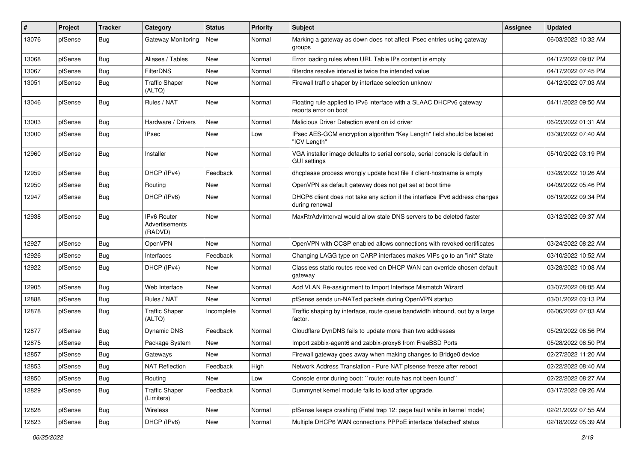| #     | Project | <b>Tracker</b> | Category                                 | <b>Status</b> | <b>Priority</b> | <b>Subject</b>                                                                                      | Assignee | <b>Updated</b>      |
|-------|---------|----------------|------------------------------------------|---------------|-----------------|-----------------------------------------------------------------------------------------------------|----------|---------------------|
| 13076 | pfSense | <b>Bug</b>     | <b>Gateway Monitoring</b>                | New           | Normal          | Marking a gateway as down does not affect IPsec entries using gateway<br>groups                     |          | 06/03/2022 10:32 AM |
| 13068 | pfSense | Bug            | Aliases / Tables                         | New           | Normal          | Error loading rules when URL Table IPs content is empty                                             |          | 04/17/2022 09:07 PM |
| 13067 | pfSense | Bug            | <b>FilterDNS</b>                         | New           | Normal          | filterdns resolve interval is twice the intended value                                              |          | 04/17/2022 07:45 PM |
| 13051 | pfSense | Bug            | <b>Traffic Shaper</b><br>(ALTQ)          | <b>New</b>    | Normal          | Firewall traffic shaper by interface selection unknow                                               |          | 04/12/2022 07:03 AM |
| 13046 | pfSense | <b>Bug</b>     | Rules / NAT                              | New           | Normal          | Floating rule applied to IPv6 interface with a SLAAC DHCPv6 gateway<br>reports error on boot        |          | 04/11/2022 09:50 AM |
| 13003 | pfSense | <b>Bug</b>     | Hardware / Drivers                       | <b>New</b>    | Normal          | Malicious Driver Detection event on ixl driver                                                      |          | 06/23/2022 01:31 AM |
| 13000 | pfSense | <b>Bug</b>     | <b>IPsec</b>                             | New           | Low             | IPsec AES-GCM encryption algorithm "Key Length" field should be labeled<br>"ICV Length"             |          | 03/30/2022 07:40 AM |
| 12960 | pfSense | Bug            | Installer                                | New           | Normal          | VGA installer image defaults to serial console, serial console is default in<br><b>GUI settings</b> |          | 05/10/2022 03:19 PM |
| 12959 | pfSense | Bug            | DHCP (IPv4)                              | Feedback      | Normal          | dhcplease process wrongly update host file if client-hostname is empty                              |          | 03/28/2022 10:26 AM |
| 12950 | pfSense | Bug            | Routing                                  | New           | Normal          | OpenVPN as default gateway does not get set at boot time                                            |          | 04/09/2022 05:46 PM |
| 12947 | pfSense | Bug            | DHCP (IPv6)                              | New           | Normal          | DHCP6 client does not take any action if the interface IPv6 address changes<br>during renewal       |          | 06/19/2022 09:34 PM |
| 12938 | pfSense | Bug            | IPv6 Router<br>Advertisements<br>(RADVD) | <b>New</b>    | Normal          | MaxRtrAdvInterval would allow stale DNS servers to be deleted faster                                |          | 03/12/2022 09:37 AM |
| 12927 | pfSense | Bug            | OpenVPN                                  | <b>New</b>    | Normal          | OpenVPN with OCSP enabled allows connections with revoked certificates                              |          | 03/24/2022 08:22 AM |
| 12926 | pfSense | Bug            | Interfaces                               | Feedback      | Normal          | Changing LAGG type on CARP interfaces makes VIPs go to an "init" State                              |          | 03/10/2022 10:52 AM |
| 12922 | pfSense | i Bug          | DHCP (IPv4)                              | New           | Normal          | Classless static routes received on DHCP WAN can override chosen default<br>gateway                 |          | 03/28/2022 10:08 AM |
| 12905 | pfSense | Bug            | Web Interface                            | <b>New</b>    | Normal          | Add VLAN Re-assignment to Import Interface Mismatch Wizard                                          |          | 03/07/2022 08:05 AM |
| 12888 | pfSense | Bug            | Rules / NAT                              | New           | Normal          | pfSense sends un-NATed packets during OpenVPN startup                                               |          | 03/01/2022 03:13 PM |
| 12878 | pfSense | Bug            | <b>Traffic Shaper</b><br>(ALTQ)          | Incomplete    | Normal          | Traffic shaping by interface, route queue bandwidth inbound, out by a large<br>factor.              |          | 06/06/2022 07:03 AM |
| 12877 | pfSense | Bug            | <b>Dynamic DNS</b>                       | Feedback      | Normal          | Cloudflare DynDNS fails to update more than two addresses                                           |          | 05/29/2022 06:56 PM |
| 12875 | pfSense | <b>Bug</b>     | Package System                           | New           | Normal          | Import zabbix-agent6 and zabbix-proxy6 from FreeBSD Ports                                           |          | 05/28/2022 06:50 PM |
| 12857 | pfSense | <b>Bug</b>     | Gateways                                 | New           | Normal          | Firewall gateway goes away when making changes to Bridge0 device                                    |          | 02/27/2022 11:20 AM |
| 12853 | pfSense | <b>Bug</b>     | <b>NAT Reflection</b>                    | Feedback      | High            | Network Address Translation - Pure NAT pfsense freeze after reboot                                  |          | 02/22/2022 08:40 AM |
| 12850 | pfSense | <b>Bug</b>     | Routing                                  | New           | Low             | Console error during boot: "route: route has not been found"                                        |          | 02/22/2022 08:27 AM |
| 12829 | pfSense | Bug            | <b>Traffic Shaper</b><br>(Limiters)      | Feedback      | Normal          | Dummynet kernel module fails to load after upgrade.                                                 |          | 03/17/2022 09:26 AM |
| 12828 | pfSense | Bug            | Wireless                                 | New           | Normal          | pfSense keeps crashing (Fatal trap 12: page fault while in kernel mode)                             |          | 02/21/2022 07:55 AM |
| 12823 | pfSense | i Bug          | DHCP (IPv6)                              | New           | Normal          | Multiple DHCP6 WAN connections PPPoE interface 'defached' status                                    |          | 02/18/2022 05:39 AM |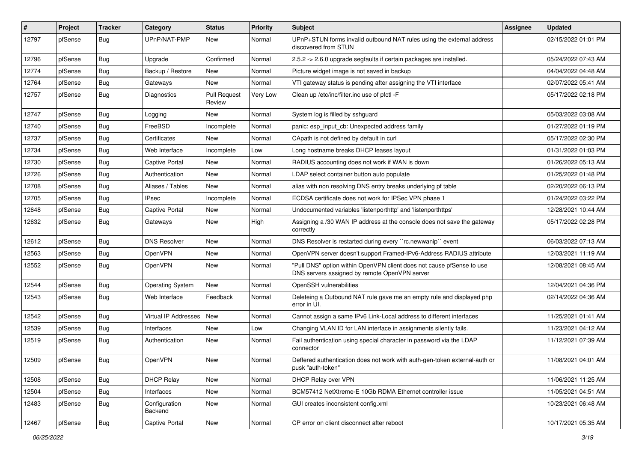| $\vert$ # | Project | <b>Tracker</b> | Category                 | <b>Status</b>                 | <b>Priority</b> | Subject                                                                                                                | Assignee | <b>Updated</b>      |
|-----------|---------|----------------|--------------------------|-------------------------------|-----------------|------------------------------------------------------------------------------------------------------------------------|----------|---------------------|
| 12797     | pfSense | <b>Bug</b>     | UPnP/NAT-PMP             | New                           | Normal          | UPnP+STUN forms invalid outbound NAT rules using the external address<br>discovered from STUN                          |          | 02/15/2022 01:01 PM |
| 12796     | pfSense | Bug            | Upgrade                  | Confirmed                     | Normal          | 2.5.2 -> 2.6.0 upgrade segfaults if certain packages are installed.                                                    |          | 05/24/2022 07:43 AM |
| 12774     | pfSense | <b>Bug</b>     | Backup / Restore         | New                           | Normal          | Picture widget image is not saved in backup                                                                            |          | 04/04/2022 04:48 AM |
| 12764     | pfSense | Bug            | Gateways                 | <b>New</b>                    | Normal          | VTI gateway status is pending after assigning the VTI interface                                                        |          | 02/07/2022 05:41 AM |
| 12757     | pfSense | <b>Bug</b>     | Diagnostics              | <b>Pull Request</b><br>Review | Very Low        | Clean up /etc/inc/filter.inc use of pfctl -F                                                                           |          | 05/17/2022 02:18 PM |
| 12747     | pfSense | Bug            | Logging                  | <b>New</b>                    | Normal          | System log is filled by sshguard                                                                                       |          | 05/03/2022 03:08 AM |
| 12740     | pfSense | Bug            | FreeBSD                  | Incomplete                    | Normal          | panic: esp input cb: Unexpected address family                                                                         |          | 01/27/2022 01:19 PM |
| 12737     | pfSense | <b>Bug</b>     | Certificates             | <b>New</b>                    | Normal          | CApath is not defined by default in curl                                                                               |          | 05/17/2022 02:30 PM |
| 12734     | pfSense | Bug            | Web Interface            | Incomplete                    | Low             | Long hostname breaks DHCP leases layout                                                                                |          | 01/31/2022 01:03 PM |
| 12730     | pfSense | <b>Bug</b>     | Captive Portal           | <b>New</b>                    | Normal          | RADIUS accounting does not work if WAN is down                                                                         |          | 01/26/2022 05:13 AM |
| 12726     | pfSense | Bug            | Authentication           | <b>New</b>                    | Normal          | LDAP select container button auto populate                                                                             |          | 01/25/2022 01:48 PM |
| 12708     | pfSense | <b>Bug</b>     | Aliases / Tables         | <b>New</b>                    | Normal          | alias with non resolving DNS entry breaks underlying pf table                                                          |          | 02/20/2022 06:13 PM |
| 12705     | pfSense | Bug            | <b>IPsec</b>             | Incomplete                    | Normal          | ECDSA certificate does not work for IPSec VPN phase 1                                                                  |          | 01/24/2022 03:22 PM |
| 12648     | pfSense | <b>Bug</b>     | Captive Portal           | New                           | Normal          | Undocumented variables 'listenporthttp' and 'listenporthttps'                                                          |          | 12/28/2021 10:44 AM |
| 12632     | pfSense | <b>Bug</b>     | Gateways                 | New                           | High            | Assigning a /30 WAN IP address at the console does not save the gateway<br>correctly                                   |          | 05/17/2022 02:28 PM |
| 12612     | pfSense | Bug            | <b>DNS Resolver</b>      | <b>New</b>                    | Normal          | DNS Resolver is restarted during every "rc.newwanip" event                                                             |          | 06/03/2022 07:13 AM |
| 12563     | pfSense | <b>Bug</b>     | OpenVPN                  | New                           | Normal          | OpenVPN server doesn't support Framed-IPv6-Address RADIUS attribute                                                    |          | 12/03/2021 11:19 AM |
| 12552     | pfSense | Bug            | OpenVPN                  | <b>New</b>                    | Normal          | "Pull DNS" option within OpenVPN client does not cause pfSense to use<br>DNS servers assigned by remote OpenVPN server |          | 12/08/2021 08:45 AM |
| 12544     | pfSense | Bug            | <b>Operating System</b>  | New                           | Normal          | OpenSSH vulnerabilities                                                                                                |          | 12/04/2021 04:36 PM |
| 12543     | pfSense | Bug            | Web Interface            | Feedback                      | Normal          | Deleteing a Outbound NAT rule gave me an empty rule and displayed php<br>error in UI.                                  |          | 02/14/2022 04:36 AM |
| 12542     | pfSense | Bug            | Virtual IP Addresses     | <b>New</b>                    | Normal          | Cannot assign a same IPv6 Link-Local address to different interfaces                                                   |          | 11/25/2021 01:41 AM |
| 12539     | pfSense | <b>Bug</b>     | Interfaces               | New                           | Low             | Changing VLAN ID for LAN interface in assignments silently fails.                                                      |          | 11/23/2021 04:12 AM |
| 12519     | pfSense | <b>Bug</b>     | Authentication           | <b>New</b>                    | Normal          | Fail authentication using special character in password via the LDAP<br>connector                                      |          | 11/12/2021 07:39 AM |
| 12509     | pfSense | Bug            | OpenVPN                  | I New                         | Normal          | Deffered authentication does not work with auth-gen-token external-auth or<br>pusk "auth-token"                        |          | 11/08/2021 04:01 AM |
| 12508     | pfSense | <b>Bug</b>     | <b>DHCP Relay</b>        | New                           | Normal          | DHCP Relay over VPN                                                                                                    |          | 11/06/2021 11:25 AM |
| 12504     | pfSense | <b>Bug</b>     | Interfaces               | New                           | Normal          | BCM57412 NetXtreme-E 10Gb RDMA Ethernet controller issue                                                               |          | 11/05/2021 04:51 AM |
| 12483     | pfSense | <b>Bug</b>     | Configuration<br>Backend | New                           | Normal          | GUI creates inconsistent config.xml                                                                                    |          | 10/23/2021 06:48 AM |
| 12467     | pfSense | i Bug          | <b>Captive Portal</b>    | New                           | Normal          | CP error on client disconnect after reboot                                                                             |          | 10/17/2021 05:35 AM |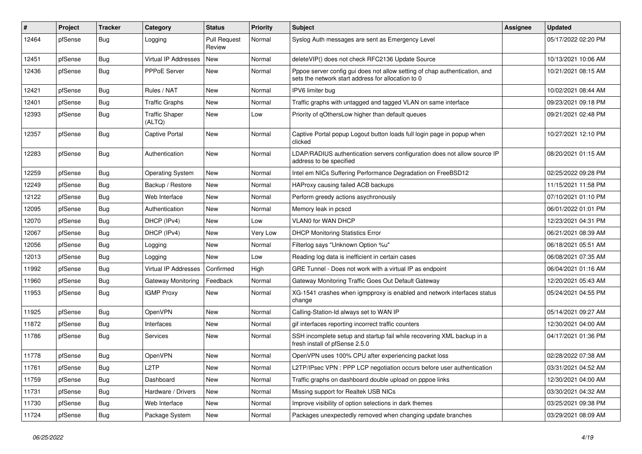| $\vert$ # | Project | <b>Tracker</b> | Category                        | <b>Status</b>                 | <b>Priority</b> | Subject                                                                                                                          | Assignee | <b>Updated</b>      |
|-----------|---------|----------------|---------------------------------|-------------------------------|-----------------|----------------------------------------------------------------------------------------------------------------------------------|----------|---------------------|
| 12464     | pfSense | <b>Bug</b>     | Logging                         | <b>Pull Request</b><br>Review | Normal          | Syslog Auth messages are sent as Emergency Level                                                                                 |          | 05/17/2022 02:20 PM |
| 12451     | pfSense | Bug            | <b>Virtual IP Addresses</b>     | <b>New</b>                    | Normal          | deleteVIP() does not check RFC2136 Update Source                                                                                 |          | 10/13/2021 10:06 AM |
| 12436     | pfSense | Bug            | PPPoE Server                    | New                           | Normal          | Pppoe server config gui does not allow setting of chap authentication, and<br>sets the network start address for allocation to 0 |          | 10/21/2021 08:15 AM |
| 12421     | pfSense | Bug            | Rules / NAT                     | <b>New</b>                    | Normal          | IPV6 limiter bug                                                                                                                 |          | 10/02/2021 08:44 AM |
| 12401     | pfSense | Bug            | <b>Traffic Graphs</b>           | <b>New</b>                    | Normal          | Traffic graphs with untagged and tagged VLAN on same interface                                                                   |          | 09/23/2021 09:18 PM |
| 12393     | pfSense | Bug            | <b>Traffic Shaper</b><br>(ALTQ) | <b>New</b>                    | Low             | Priority of qOthersLow higher than default queues                                                                                |          | 09/21/2021 02:48 PM |
| 12357     | pfSense | Bug            | <b>Captive Portal</b>           | <b>New</b>                    | Normal          | Captive Portal popup Logout button loads full login page in popup when<br>clicked                                                |          | 10/27/2021 12:10 PM |
| 12283     | pfSense | Bug            | Authentication                  | <b>New</b>                    | Normal          | LDAP/RADIUS authentication servers configuration does not allow source IP<br>address to be specified                             |          | 08/20/2021 01:15 AM |
| 12259     | pfSense | Bug            | <b>Operating System</b>         | <b>New</b>                    | Normal          | Intel em NICs Suffering Performance Degradation on FreeBSD12                                                                     |          | 02/25/2022 09:28 PM |
| 12249     | pfSense | Bug            | Backup / Restore                | New                           | Normal          | HAProxy causing failed ACB backups                                                                                               |          | 11/15/2021 11:58 PM |
| 12122     | pfSense | <b>Bug</b>     | Web Interface                   | <b>New</b>                    | Normal          | Perform greedy actions asychronously                                                                                             |          | 07/10/2021 01:10 PM |
| 12095     | pfSense | <b>Bug</b>     | Authentication                  | <b>New</b>                    | Normal          | Memory leak in pcscd                                                                                                             |          | 06/01/2022 01:01 PM |
| 12070     | pfSense | Bug            | DHCP (IPv4)                     | <b>New</b>                    | Low             | VLAN0 for WAN DHCP                                                                                                               |          | 12/23/2021 04:31 PM |
| 12067     | pfSense | i Bug          | DHCP (IPv4)                     | <b>New</b>                    | Very Low        | <b>DHCP Monitoring Statistics Error</b>                                                                                          |          | 06/21/2021 08:39 AM |
| 12056     | pfSense | <b>Bug</b>     | Logging                         | <b>New</b>                    | Normal          | Filterlog says "Unknown Option %u"                                                                                               |          | 06/18/2021 05:51 AM |
| 12013     | pfSense | Bug            | Logging                         | <b>New</b>                    | Low             | Reading log data is inefficient in certain cases                                                                                 |          | 06/08/2021 07:35 AM |
| 11992     | pfSense | <b>Bug</b>     | Virtual IP Addresses            | Confirmed                     | High            | GRE Tunnel - Does not work with a virtual IP as endpoint                                                                         |          | 06/04/2021 01:16 AM |
| 11960     | pfSense | <b>Bug</b>     | <b>Gateway Monitoring</b>       | Feedback                      | Normal          | Gateway Monitoring Traffic Goes Out Default Gateway                                                                              |          | 12/20/2021 05:43 AM |
| 11953     | pfSense | <b>Bug</b>     | <b>IGMP Proxy</b>               | New                           | Normal          | XG-1541 crashes when igmpproxy is enabled and network interfaces status<br>change                                                |          | 05/24/2021 04:55 PM |
| 11925     | pfSense | <b>Bug</b>     | OpenVPN                         | <b>New</b>                    | Normal          | Calling-Station-Id always set to WAN IP                                                                                          |          | 05/14/2021 09:27 AM |
| 11872     | pfSense | <b>Bug</b>     | Interfaces                      | New                           | Normal          | gif interfaces reporting incorrect traffic counters                                                                              |          | 12/30/2021 04:00 AM |
| 11786     | pfSense | <b>Bug</b>     | Services                        | <b>New</b>                    | Normal          | SSH incomplete setup and startup fail while recovering XML backup in a<br>fresh install of pfSense 2.5.0                         |          | 04/17/2021 01:36 PM |
| 11778     | pfSense | Bug            | OpenVPN                         | New                           | Normal          | OpenVPN uses 100% CPU after experiencing packet loss                                                                             |          | 02/28/2022 07:38 AM |
| 11761     | pfSense | <b>Bug</b>     | L <sub>2</sub> TP               | New                           | Normal          | L2TP/IPsec VPN : PPP LCP negotiation occurs before user authentication                                                           |          | 03/31/2021 04:52 AM |
| 11759     | pfSense | <b>Bug</b>     | Dashboard                       | New                           | Normal          | Traffic graphs on dashboard double upload on pppoe links                                                                         |          | 12/30/2021 04:00 AM |
| 11731     | pfSense | Bug            | Hardware / Drivers              | <b>New</b>                    | Normal          | Missing support for Realtek USB NICs                                                                                             |          | 03/30/2021 04:32 AM |
| 11730     | pfSense | <b>Bug</b>     | Web Interface                   | New                           | Normal          | Improve visibility of option selections in dark themes                                                                           |          | 03/25/2021 09:38 PM |
| 11724     | pfSense | Bug            | Package System                  | New                           | Normal          | Packages unexpectedly removed when changing update branches                                                                      |          | 03/29/2021 08:09 AM |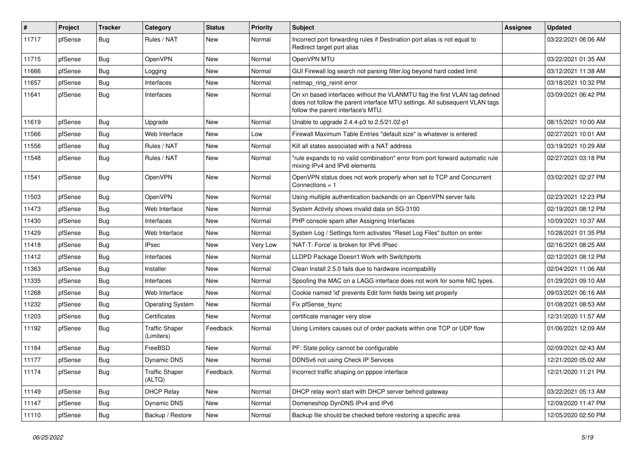| #     | Project | <b>Tracker</b> | Category                            | <b>Status</b> | <b>Priority</b> | <b>Subject</b>                                                                                                                                                                                  | <b>Assignee</b> | <b>Updated</b>      |
|-------|---------|----------------|-------------------------------------|---------------|-----------------|-------------------------------------------------------------------------------------------------------------------------------------------------------------------------------------------------|-----------------|---------------------|
| 11717 | pfSense | Bug            | Rules / NAT                         | New           | Normal          | Incorrect port forwarding rules if Destination port alias is not equal to<br>Redirect target port alias                                                                                         |                 | 03/22/2021 06:06 AM |
| 11715 | pfSense | Bug            | <b>OpenVPN</b>                      | New           | Normal          | OpenVPN MTU                                                                                                                                                                                     |                 | 03/22/2021 01:35 AM |
| 11666 | pfSense | <b>Bug</b>     | Logging                             | New           | Normal          | GUI Firewall log search not parsing filter.log beyond hard coded limit                                                                                                                          |                 | 03/12/2021 11:38 AM |
| 11657 | pfSense | Bug            | Interfaces                          | New           | Normal          | netmap_ring_reinit error                                                                                                                                                                        |                 | 03/18/2021 10:32 PM |
| 11641 | pfSense | Bug            | Interfaces                          | New           | Normal          | On xn based interfaces without the VLANMTU flag the first VLAN tag defined<br>does not follow the parent interface MTU settings. All subsequent VLAN tags<br>follow the parent interface's MTU. |                 | 03/09/2021 06:42 PM |
| 11619 | pfSense | Bug            | Upgrade                             | New           | Normal          | Unable to upgrade 2.4.4-p3 to 2.5/21.02-p1                                                                                                                                                      |                 | 08/15/2021 10:00 AM |
| 11566 | pfSense | Bug            | Web Interface                       | New           | Low             | Firewall Maximum Table Entries "default size" is whatever is entered                                                                                                                            |                 | 02/27/2021 10:01 AM |
| 11556 | pfSense | <b>Bug</b>     | Rules / NAT                         | New           | Normal          | Kill all states associated with a NAT address                                                                                                                                                   |                 | 03/19/2021 10:29 AM |
| 11548 | pfSense | <b>Bug</b>     | Rules / NAT                         | New           | Normal          | "rule expands to no valid combination" error from port forward automatic rule<br>mixing IPv4 and IPv6 elements                                                                                  |                 | 02/27/2021 03:18 PM |
| 11541 | pfSense | Bug            | OpenVPN                             | <b>New</b>    | Normal          | OpenVPN status does not work properly when set to TCP and Concurrent<br>Connections $= 1$                                                                                                       |                 | 03/02/2021 02:27 PM |
| 11503 | pfSense | Bug            | OpenVPN                             | <b>New</b>    | Normal          | Using multiple authentication backends on an OpenVPN server fails                                                                                                                               |                 | 02/23/2021 12:23 PM |
| 11473 | pfSense | Bug            | Web Interface                       | New           | Normal          | System Activity shows invalid data on SG-3100                                                                                                                                                   |                 | 02/19/2021 08:12 PM |
| 11430 | pfSense | <b>Bug</b>     | Interfaces                          | New           | Normal          | PHP console spam after Assigning Interfaces                                                                                                                                                     |                 | 10/09/2021 10:37 AM |
| 11429 | pfSense | Bug            | Web Interface                       | New           | Normal          | System Log / Settings form activates "Reset Log Files" button on enter                                                                                                                          |                 | 10/28/2021 01:35 PM |
| 11418 | pfSense | <b>Bug</b>     | <b>IPsec</b>                        | New           | Very Low        | 'NAT-T: Force' is broken for IPv6 IPsec                                                                                                                                                         |                 | 02/16/2021 08:25 AM |
| 11412 | pfSense | Bug            | Interfaces                          | New           | Normal          | LLDPD Package Doesn't Work with Switchports                                                                                                                                                     |                 | 02/12/2021 08:12 PM |
| 11363 | pfSense | <b>Bug</b>     | Installer                           | New           | Normal          | Clean Install 2.5.0 fails due to hardware incompability                                                                                                                                         |                 | 02/04/2021 11:06 AM |
| 11335 | pfSense | Bug            | Interfaces                          | New           | Normal          | Spoofing the MAC on a LAGG interface does not work for some NIC types.                                                                                                                          |                 | 01/29/2021 09:10 AM |
| 11268 | pfSense | Bug            | Web Interface                       | New           | Normal          | Cookie named 'id' prevents Edit form fields being set properly                                                                                                                                  |                 | 09/03/2021 06:16 AM |
| 11232 | pfSense | Bug            | <b>Operating System</b>             | New           | Normal          | Fix pfSense_fsync                                                                                                                                                                               |                 | 01/08/2021 08:53 AM |
| 11203 | pfSense | <b>Bug</b>     | Certificates                        | New           | Normal          | certificate manager very slow                                                                                                                                                                   |                 | 12/31/2020 11:57 AM |
| 11192 | pfSense | Bug            | <b>Traffic Shaper</b><br>(Limiters) | Feedback      | Normal          | Using Limiters causes out of order packets within one TCP or UDP flow                                                                                                                           |                 | 01/06/2021 12:09 AM |
| 11184 | pfSense | Bug            | FreeBSD                             | New           | Normal          | PF: State policy cannot be configurable                                                                                                                                                         |                 | 02/09/2021 02:43 AM |
| 11177 | pfSense | i Bug          | Dynamic DNS                         | New           | Normal          | DDNSv6 not using Check IP Services                                                                                                                                                              |                 | 12/21/2020 05:02 AM |
| 11174 | pfSense | <b>Bug</b>     | <b>Traffic Shaper</b><br>(ALTQ)     | Feedback      | Normal          | Incorrect traffic shaping on pppoe interface                                                                                                                                                    |                 | 12/21/2020 11:21 PM |
| 11149 | pfSense | <b>Bug</b>     | <b>DHCP Relay</b>                   | New           | Normal          | DHCP relay won't start with DHCP server behind gateway                                                                                                                                          |                 | 03/22/2021 05:13 AM |
| 11147 | pfSense | Bug            | Dynamic DNS                         | New           | Normal          | Domeneshop DynDNS IPv4 and IPv6                                                                                                                                                                 |                 | 12/09/2020 11:47 PM |
| 11110 | pfSense | Bug            | Backup / Restore                    | New           | Normal          | Backup file should be checked before restoring a specific area                                                                                                                                  |                 | 12/05/2020 02:50 PM |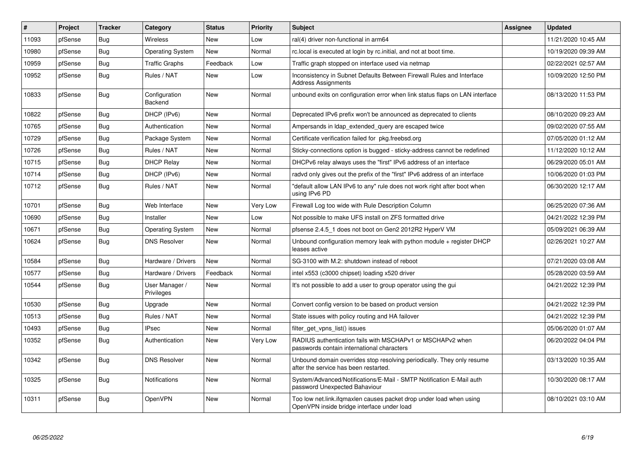| $\vert$ # | Project | <b>Tracker</b> | Category                     | <b>Status</b> | <b>Priority</b> | <b>Subject</b>                                                                                                    | Assignee | <b>Updated</b>      |
|-----------|---------|----------------|------------------------------|---------------|-----------------|-------------------------------------------------------------------------------------------------------------------|----------|---------------------|
| 11093     | pfSense | Bug            | Wireless                     | <b>New</b>    | Low             | ral(4) driver non-functional in arm64                                                                             |          | 11/21/2020 10:45 AM |
| 10980     | pfSense | <b>Bug</b>     | <b>Operating System</b>      | <b>New</b>    | Normal          | rc.local is executed at login by rc.initial, and not at boot time.                                                |          | 10/19/2020 09:39 AM |
| 10959     | pfSense | Bug            | Traffic Graphs               | Feedback      | Low             | Traffic graph stopped on interface used via netmap                                                                |          | 02/22/2021 02:57 AM |
| 10952     | pfSense | Bug            | Rules / NAT                  | New           | Low             | Inconsistency in Subnet Defaults Between Firewall Rules and Interface<br>Address Assignments                      |          | 10/09/2020 12:50 PM |
| 10833     | pfSense | <b>Bug</b>     | Configuration<br>Backend     | <b>New</b>    | Normal          | unbound exits on configuration error when link status flaps on LAN interface                                      |          | 08/13/2020 11:53 PM |
| 10822     | pfSense | <b>Bug</b>     | DHCP (IPv6)                  | <b>New</b>    | Normal          | Deprecated IPv6 prefix won't be announced as deprecated to clients                                                |          | 08/10/2020 09:23 AM |
| 10765     | pfSense | <b>Bug</b>     | Authentication               | New           | Normal          | Ampersands in Idap extended query are escaped twice                                                               |          | 09/02/2020 07:55 AM |
| 10729     | pfSense | <b>Bug</b>     | Package System               | New           | Normal          | Certificate verification failed for pkg.freebsd.org                                                               |          | 07/05/2020 01:12 AM |
| 10726     | pfSense | Bug            | Rules / NAT                  | New           | Normal          | Sticky-connections option is bugged - sticky-address cannot be redefined                                          |          | 11/12/2020 10:12 AM |
| 10715     | pfSense | Bug            | <b>DHCP Relay</b>            | <b>New</b>    | Normal          | DHCPv6 relay always uses the "first" IPv6 address of an interface                                                 |          | 06/29/2020 05:01 AM |
| 10714     | pfSense | <b>Bug</b>     | DHCP (IPv6)                  | <b>New</b>    | Normal          | radvd only gives out the prefix of the "first" IPv6 address of an interface                                       |          | 10/06/2020 01:03 PM |
| 10712     | pfSense | <b>Bug</b>     | Rules / NAT                  | New           | Normal          | "default allow LAN IPv6 to any" rule does not work right after boot when<br>using IPv6 PD                         |          | 06/30/2020 12:17 AM |
| 10701     | pfSense | <b>Bug</b>     | Web Interface                | <b>New</b>    | Very Low        | Firewall Log too wide with Rule Description Column                                                                |          | 06/25/2020 07:36 AM |
| 10690     | pfSense | <b>Bug</b>     | Installer                    | New           | Low             | Not possible to make UFS install on ZFS formatted drive                                                           |          | 04/21/2022 12:39 PM |
| 10671     | pfSense | <b>Bug</b>     | <b>Operating System</b>      | <b>New</b>    | Normal          | pfsense 2.4.5_1 does not boot on Gen2 2012R2 HyperV VM                                                            |          | 05/09/2021 06:39 AM |
| 10624     | pfSense | <b>Bug</b>     | <b>DNS Resolver</b>          | New           | Normal          | Unbound configuration memory leak with python module + register DHCP<br>leases active                             |          | 02/26/2021 10:27 AM |
| 10584     | pfSense | Bug            | Hardware / Drivers           | <b>New</b>    | Normal          | SG-3100 with M.2: shutdown instead of reboot                                                                      |          | 07/21/2020 03:08 AM |
| 10577     | pfSense | <b>Bug</b>     | Hardware / Drivers           | Feedback      | Normal          | intel x553 (c3000 chipset) loading x520 driver                                                                    |          | 05/28/2020 03:59 AM |
| 10544     | pfSense | <b>Bug</b>     | User Manager /<br>Privileges | New           | Normal          | It's not possible to add a user to group operator using the gui                                                   |          | 04/21/2022 12:39 PM |
| 10530     | pfSense | <b>Bug</b>     | Upgrade                      | <b>New</b>    | Normal          | Convert config version to be based on product version                                                             |          | 04/21/2022 12:39 PM |
| 10513     | pfSense | <b>Bug</b>     | Rules / NAT                  | New           | Normal          | State issues with policy routing and HA failover                                                                  |          | 04/21/2022 12:39 PM |
| 10493     | pfSense | Bug            | <b>IPsec</b>                 | <b>New</b>    | Normal          | filter get vpns list() issues                                                                                     |          | 05/06/2020 01:07 AM |
| 10352     | pfSense | Bug            | Authentication               | New           | Very Low        | RADIUS authentication fails with MSCHAPv1 or MSCHAPv2 when<br>passwords contain international characters          |          | 06/20/2022 04:04 PM |
| 10342     | pfSense | Bug            | <b>DNS Resolver</b>          | New           | Normal          | Unbound domain overrides stop resolving periodically. They only resume<br>after the service has been restarted.   |          | 03/13/2020 10:35 AM |
| 10325     | pfSense | <b>Bug</b>     | <b>Notifications</b>         | <b>New</b>    | Normal          | System/Advanced/Notifications/E-Mail - SMTP Notification E-Mail auth<br>password Unexpected Bahaviour             |          | 10/30/2020 08:17 AM |
| 10311     | pfSense | <b>Bug</b>     | <b>OpenVPN</b>               | New           | Normal          | Too low net.link.ifqmaxlen causes packet drop under load when using<br>OpenVPN inside bridge interface under load |          | 08/10/2021 03:10 AM |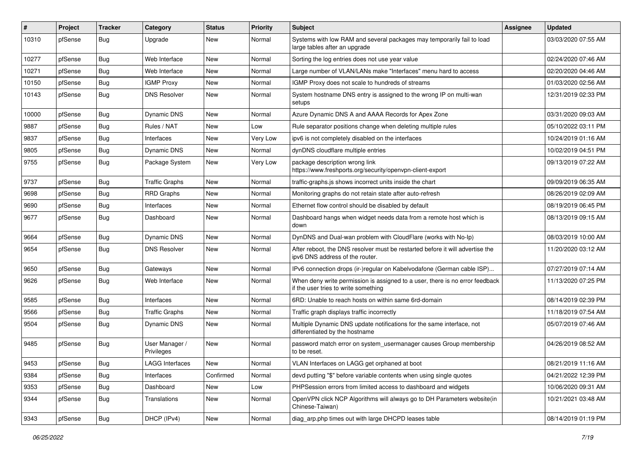| #     | Project | <b>Tracker</b> | Category                     | <b>Status</b> | <b>Priority</b> | <b>Subject</b>                                                                                                       | <b>Assignee</b> | <b>Updated</b>      |
|-------|---------|----------------|------------------------------|---------------|-----------------|----------------------------------------------------------------------------------------------------------------------|-----------------|---------------------|
| 10310 | pfSense | Bug            | Upgrade                      | New           | Normal          | Systems with low RAM and several packages may temporarily fail to load<br>large tables after an upgrade              |                 | 03/03/2020 07:55 AM |
| 10277 | pfSense | Bug            | Web Interface                | New           | Normal          | Sorting the log entries does not use year value                                                                      |                 | 02/24/2020 07:46 AM |
| 10271 | pfSense | Bug            | Web Interface                | New           | Normal          | Large number of VLAN/LANs make "Interfaces" menu hard to access                                                      |                 | 02/20/2020 04:46 AM |
| 10150 | pfSense | <b>Bug</b>     | <b>IGMP Proxy</b>            | New           | Normal          | IGMP Proxy does not scale to hundreds of streams                                                                     |                 | 01/03/2020 02:56 AM |
| 10143 | pfSense | Bug            | <b>DNS Resolver</b>          | New           | Normal          | System hostname DNS entry is assigned to the wrong IP on multi-wan<br>setups                                         |                 | 12/31/2019 02:33 PM |
| 10000 | pfSense | Bug            | <b>Dynamic DNS</b>           | <b>New</b>    | Normal          | Azure Dynamic DNS A and AAAA Records for Apex Zone                                                                   |                 | 03/31/2020 09:03 AM |
| 9887  | pfSense | Bug            | Rules / NAT                  | New           | Low             | Rule separator positions change when deleting multiple rules                                                         |                 | 05/10/2022 03:11 PM |
| 9837  | pfSense | Bug            | Interfaces                   | New           | Very Low        | ipv6 is not completely disabled on the interfaces                                                                    |                 | 10/24/2019 01:16 AM |
| 9805  | pfSense | Bug            | Dynamic DNS                  | New           | Normal          | dynDNS cloudflare multiple entries                                                                                   |                 | 10/02/2019 04:51 PM |
| 9755  | pfSense | Bug            | Package System               | New           | Very Low        | package description wrong link<br>https://www.freshports.org/security/openvpn-client-export                          |                 | 09/13/2019 07:22 AM |
| 9737  | pfSense | Bug            | <b>Traffic Graphs</b>        | New           | Normal          | traffic-graphs.js shows incorrect units inside the chart                                                             |                 | 09/09/2019 06:35 AM |
| 9698  | pfSense | Bug            | <b>RRD Graphs</b>            | New           | Normal          | Monitoring graphs do not retain state after auto-refresh                                                             |                 | 08/26/2019 02:09 AM |
| 9690  | pfSense | Bug            | Interfaces                   | New           | Normal          | Ethernet flow control should be disabled by default                                                                  |                 | 08/19/2019 06:45 PM |
| 9677  | pfSense | <b>Bug</b>     | Dashboard                    | New           | Normal          | Dashboard hangs when widget needs data from a remote host which is<br>down                                           |                 | 08/13/2019 09:15 AM |
| 9664  | pfSense | Bug            | Dynamic DNS                  | New           | Normal          | DynDNS and Dual-wan problem with CloudFlare (works with No-Ip)                                                       |                 | 08/03/2019 10:00 AM |
| 9654  | pfSense | Bug            | <b>DNS Resolver</b>          | New           | Normal          | After reboot, the DNS resolver must be restarted before it will advertise the<br>ipv6 DNS address of the router.     |                 | 11/20/2020 03:12 AM |
| 9650  | pfSense | Bug            | Gateways                     | New           | Normal          | IPv6 connection drops (ir-)regular on Kabelvodafone (German cable ISP)                                               |                 | 07/27/2019 07:14 AM |
| 9626  | pfSense | Bug            | Web Interface                | New           | Normal          | When deny write permission is assigned to a user, there is no error feedback<br>if the user tries to write something |                 | 11/13/2020 07:25 PM |
| 9585  | pfSense | <b>Bug</b>     | Interfaces                   | New           | Normal          | 6RD: Unable to reach hosts on within same 6rd-domain                                                                 |                 | 08/14/2019 02:39 PM |
| 9566  | pfSense | Bug            | <b>Traffic Graphs</b>        | New           | Normal          | Traffic graph displays traffic incorrectly                                                                           |                 | 11/18/2019 07:54 AM |
| 9504  | pfSense | Bug            | Dynamic DNS                  | New           | Normal          | Multiple Dynamic DNS update notifications for the same interface, not<br>differentiated by the hostname              |                 | 05/07/2019 07:46 AM |
| 9485  | pfSense | Bug            | User Manager /<br>Privileges | New           | Normal          | password match error on system usermanager causes Group membership<br>to be reset.                                   |                 | 04/26/2019 08:52 AM |
| 9453  | pfSense | <b>Bug</b>     | <b>LAGG Interfaces</b>       | New           | Normal          | VLAN Interfaces on LAGG get orphaned at boot                                                                         |                 | 08/21/2019 11:16 AM |
| 9384  | pfSense | <b>Bug</b>     | Interfaces                   | Confirmed     | Normal          | devd putting "\$" before variable contents when using single quotes                                                  |                 | 04/21/2022 12:39 PM |
| 9353  | pfSense | Bug            | Dashboard                    | New           | Low             | PHPSession errors from limited access to dashboard and widgets                                                       |                 | 10/06/2020 09:31 AM |
| 9344  | pfSense | <b>Bug</b>     | Translations                 | New           | Normal          | OpenVPN click NCP Algorithms will always go to DH Parameters website(in<br>Chinese-Taiwan)                           |                 | 10/21/2021 03:48 AM |
| 9343  | pfSense | Bug            | DHCP (IPv4)                  | New           | Normal          | diag_arp.php times out with large DHCPD leases table                                                                 |                 | 08/14/2019 01:19 PM |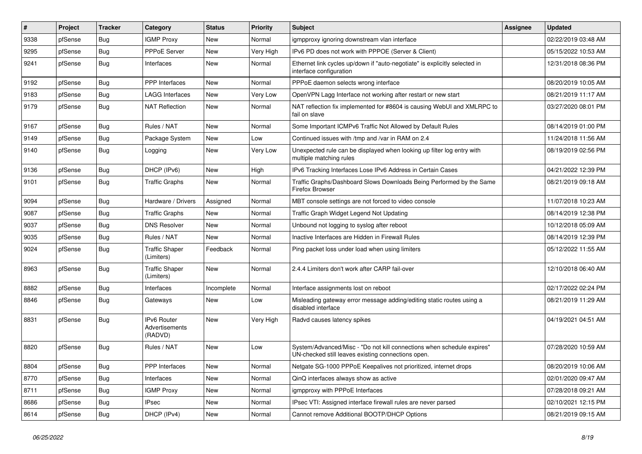| $\vert$ # | Project | <b>Tracker</b> | Category                                 | <b>Status</b> | <b>Priority</b> | Subject                                                                                                                      | Assignee | <b>Updated</b>      |
|-----------|---------|----------------|------------------------------------------|---------------|-----------------|------------------------------------------------------------------------------------------------------------------------------|----------|---------------------|
| 9338      | pfSense | <b>Bug</b>     | <b>IGMP Proxy</b>                        | <b>New</b>    | Normal          | igmpproxy ignoring downstream vlan interface                                                                                 |          | 02/22/2019 03:48 AM |
| 9295      | pfSense | <b>Bug</b>     | <b>PPPoE Server</b>                      | <b>New</b>    | Very High       | IPv6 PD does not work with PPPOE (Server & Client)                                                                           |          | 05/15/2022 10:53 AM |
| 9241      | pfSense | <b>Bug</b>     | Interfaces                               | <b>New</b>    | Normal          | Ethernet link cycles up/down if "auto-negotiate" is explicitly selected in<br>interface configuration                        |          | 12/31/2018 08:36 PM |
| 9192      | pfSense | Bug            | PPP Interfaces                           | <b>New</b>    | Normal          | PPPoE daemon selects wrong interface                                                                                         |          | 08/20/2019 10:05 AM |
| 9183      | pfSense | <b>Bug</b>     | <b>LAGG Interfaces</b>                   | <b>New</b>    | Very Low        | OpenVPN Lagg Interface not working after restart or new start                                                                |          | 08/21/2019 11:17 AM |
| 9179      | pfSense | <b>Bug</b>     | <b>NAT Reflection</b>                    | New           | Normal          | NAT reflection fix implemented for #8604 is causing WebUI and XMLRPC to<br>fail on slave                                     |          | 03/27/2020 08:01 PM |
| 9167      | pfSense | <b>Bug</b>     | Rules / NAT                              | <b>New</b>    | Normal          | Some Important ICMPv6 Traffic Not Allowed by Default Rules                                                                   |          | 08/14/2019 01:00 PM |
| 9149      | pfSense | <b>Bug</b>     | Package System                           | <b>New</b>    | Low             | Continued issues with /tmp and /var in RAM on 2.4                                                                            |          | 11/24/2018 11:56 AM |
| 9140      | pfSense | Bug            | Logging                                  | <b>New</b>    | Very Low        | Unexpected rule can be displayed when looking up filter log entry with<br>multiple matching rules                            |          | 08/19/2019 02:56 PM |
| 9136      | pfSense | <b>Bug</b>     | DHCP (IPv6)                              | New           | High            | IPv6 Tracking Interfaces Lose IPv6 Address in Certain Cases                                                                  |          | 04/21/2022 12:39 PM |
| 9101      | pfSense | <b>Bug</b>     | <b>Traffic Graphs</b>                    | New           | Normal          | Traffic Graphs/Dashboard Slows Downloads Being Performed by the Same<br>Firefox Browser                                      |          | 08/21/2019 09:18 AM |
| 9094      | pfSense | <b>Bug</b>     | Hardware / Drivers                       | Assigned      | Normal          | MBT console settings are not forced to video console                                                                         |          | 11/07/2018 10:23 AM |
| 9087      | pfSense | Bug            | <b>Traffic Graphs</b>                    | New           | Normal          | Traffic Graph Widget Legend Not Updating                                                                                     |          | 08/14/2019 12:38 PM |
| 9037      | pfSense | <b>Bug</b>     | <b>DNS Resolver</b>                      | <b>New</b>    | Normal          | Unbound not logging to syslog after reboot                                                                                   |          | 10/12/2018 05:09 AM |
| 9035      | pfSense | Bug            | Rules / NAT                              | <b>New</b>    | Normal          | Inactive Interfaces are Hidden in Firewall Rules                                                                             |          | 08/14/2019 12:39 PM |
| 9024      | pfSense | <b>Bug</b>     | <b>Traffic Shaper</b><br>(Limiters)      | Feedback      | Normal          | Ping packet loss under load when using limiters                                                                              |          | 05/12/2022 11:55 AM |
| 8963      | pfSense | <b>Bug</b>     | <b>Traffic Shaper</b><br>(Limiters)      | <b>New</b>    | Normal          | 2.4.4 Limiters don't work after CARP fail-over                                                                               |          | 12/10/2018 06:40 AM |
| 8882      | pfSense | <b>Bug</b>     | Interfaces                               | Incomplete    | Normal          | Interface assignments lost on reboot                                                                                         |          | 02/17/2022 02:24 PM |
| 8846      | pfSense | <b>Bug</b>     | Gateways                                 | New           | Low             | Misleading gateway error message adding/editing static routes using a<br>disabled interface                                  |          | 08/21/2019 11:29 AM |
| 8831      | pfSense | <b>Bug</b>     | IPv6 Router<br>Advertisements<br>(RADVD) | <b>New</b>    | Very High       | Radvd causes latency spikes                                                                                                  |          | 04/19/2021 04:51 AM |
| 8820      | pfSense | <b>Bug</b>     | Rules / NAT                              | <b>New</b>    | Low             | System/Advanced/Misc - "Do not kill connections when schedule expires"<br>UN-checked still leaves existing connections open. |          | 07/28/2020 10:59 AM |
| 8804      | pfSense | <b>Bug</b>     | PPP Interfaces                           | New           | Normal          | Netgate SG-1000 PPPoE Keepalives not prioritized, internet drops                                                             |          | 08/20/2019 10:06 AM |
| 8770      | pfSense | <b>Bug</b>     | Interfaces                               | New           | Normal          | QinQ interfaces always show as active                                                                                        |          | 02/01/2020 09:47 AM |
| 8711      | pfSense | <b>Bug</b>     | <b>IGMP Proxy</b>                        | New           | Normal          | igmpproxy with PPPoE Interfaces                                                                                              |          | 07/28/2018 09:21 AM |
| 8686      | pfSense | <b>Bug</b>     | <b>IPsec</b>                             | New           | Normal          | IPsec VTI: Assigned interface firewall rules are never parsed                                                                |          | 02/10/2021 12:15 PM |
| 8614      | pfSense | Bug            | DHCP (IPv4)                              | New           | Normal          | Cannot remove Additional BOOTP/DHCP Options                                                                                  |          | 08/21/2019 09:15 AM |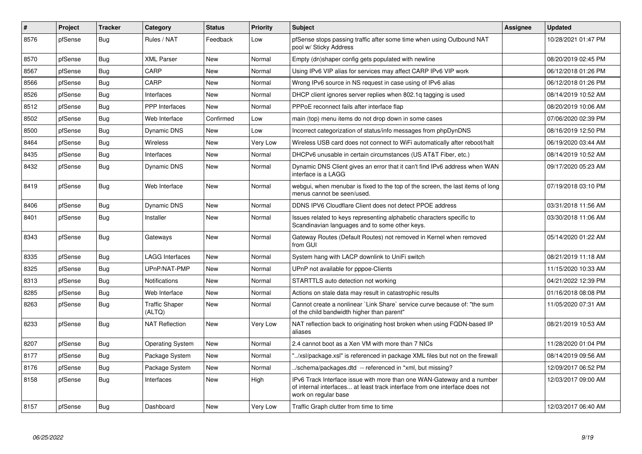| $\sharp$ | Project | <b>Tracker</b> | Category                        | <b>Status</b> | <b>Priority</b> | <b>Subject</b>                                                                                                                                                                | Assignee | <b>Updated</b>      |
|----------|---------|----------------|---------------------------------|---------------|-----------------|-------------------------------------------------------------------------------------------------------------------------------------------------------------------------------|----------|---------------------|
| 8576     | pfSense | <b>Bug</b>     | Rules / NAT                     | Feedback      | Low             | pfSense stops passing traffic after some time when using Outbound NAT<br>pool w/ Sticky Address                                                                               |          | 10/28/2021 01:47 PM |
| 8570     | pfSense | Bug            | <b>XML Parser</b>               | New           | Normal          | Empty (dn)shaper config gets populated with newline                                                                                                                           |          | 08/20/2019 02:45 PM |
| 8567     | pfSense | <b>Bug</b>     | CARP                            | <b>New</b>    | Normal          | Using IPv6 VIP alias for services may affect CARP IPv6 VIP work                                                                                                               |          | 06/12/2018 01:26 PM |
| 8566     | pfSense | <b>Bug</b>     | CARP                            | <b>New</b>    | Normal          | Wrong IPv6 source in NS request in case using of IPv6 alias                                                                                                                   |          | 06/12/2018 01:26 PM |
| 8526     | pfSense | <b>Bug</b>     | Interfaces                      | New           | Normal          | DHCP client ignores server replies when 802.1q tagging is used                                                                                                                |          | 08/14/2019 10:52 AM |
| 8512     | pfSense | <b>Bug</b>     | <b>PPP</b> Interfaces           | New           | Normal          | PPPoE reconnect fails after interface flap                                                                                                                                    |          | 08/20/2019 10:06 AM |
| 8502     | pfSense | <b>Bug</b>     | Web Interface                   | Confirmed     | Low             | main (top) menu items do not drop down in some cases                                                                                                                          |          | 07/06/2020 02:39 PM |
| 8500     | pfSense | Bug            | <b>Dynamic DNS</b>              | New           | Low             | Incorrect categorization of status/info messages from phpDynDNS                                                                                                               |          | 08/16/2019 12:50 PM |
| 8464     | pfSense | <b>Bug</b>     | Wireless                        | <b>New</b>    | Very Low        | Wireless USB card does not connect to WiFi automatically after reboot/halt                                                                                                    |          | 06/19/2020 03:44 AM |
| 8435     | pfSense | <b>Bug</b>     | Interfaces                      | New           | Normal          | DHCPv6 unusable in certain circumstances (US AT&T Fiber, etc.)                                                                                                                |          | 08/14/2019 10:52 AM |
| 8432     | pfSense | Bug            | Dynamic DNS                     | <b>New</b>    | Normal          | Dynamic DNS Client gives an error that it can't find IPv6 address when WAN<br>interface is a LAGG                                                                             |          | 09/17/2020 05:23 AM |
| 8419     | pfSense | Bug            | Web Interface                   | New           | Normal          | webgui, when menubar is fixed to the top of the screen, the last items of long<br>menus cannot be seen/used.                                                                  |          | 07/19/2018 03:10 PM |
| 8406     | pfSense | Bug            | <b>Dynamic DNS</b>              | New           | Normal          | DDNS IPV6 Cloudflare Client does not detect PPOE address                                                                                                                      |          | 03/31/2018 11:56 AM |
| 8401     | pfSense | Bug            | Installer                       | <b>New</b>    | Normal          | Issues related to keys representing alphabetic characters specific to<br>Scandinavian languages and to some other keys.                                                       |          | 03/30/2018 11:06 AM |
| 8343     | pfSense | <b>Bug</b>     | Gateways                        | <b>New</b>    | Normal          | Gateway Routes (Default Routes) not removed in Kernel when removed<br>from GUI                                                                                                |          | 05/14/2020 01:22 AM |
| 8335     | pfSense | Bug            | <b>LAGG Interfaces</b>          | New           | Normal          | System hang with LACP downlink to UniFi switch                                                                                                                                |          | 08/21/2019 11:18 AM |
| 8325     | pfSense | Bug            | UPnP/NAT-PMP                    | <b>New</b>    | Normal          | UPnP not available for pppoe-Clients                                                                                                                                          |          | 11/15/2020 10:33 AM |
| 8313     | pfSense | <b>Bug</b>     | Notifications                   | New           | Normal          | STARTTLS auto detection not working                                                                                                                                           |          | 04/21/2022 12:39 PM |
| 8285     | pfSense | Bug            | Web Interface                   | <b>New</b>    | Normal          | Actions on stale data may result in catastrophic results                                                                                                                      |          | 01/16/2018 08:08 PM |
| 8263     | pfSense | <b>Bug</b>     | <b>Traffic Shaper</b><br>(ALTQ) | <b>New</b>    | Normal          | Cannot create a nonlinear `Link Share` service curve because of: "the sum<br>of the child bandwidth higher than parent"                                                       |          | 11/05/2020 07:31 AM |
| 8233     | pfSense | <b>Bug</b>     | <b>NAT Reflection</b>           | <b>New</b>    | Very Low        | NAT reflection back to originating host broken when using FQDN-based IP<br>aliases                                                                                            |          | 08/21/2019 10:53 AM |
| 8207     | pfSense | <b>Bug</b>     | <b>Operating System</b>         | <b>New</b>    | Normal          | 2.4 cannot boot as a Xen VM with more than 7 NICs                                                                                                                             |          | 11/28/2020 01:04 PM |
| 8177     | pfSense | <b>Bug</b>     | Package System                  | <b>New</b>    | Normal          | '/xsl/package.xsl" is referenced in package XML files but not on the firewall                                                                                                 |          | 08/14/2019 09:56 AM |
| 8176     | pfSense | <b>Bug</b>     | Package System                  | New           | Normal          | ./schema/packages.dtd -- referenced in *xml, but missing?                                                                                                                     |          | 12/09/2017 06:52 PM |
| 8158     | pfSense | <b>Bug</b>     | Interfaces                      | <b>New</b>    | High            | IPv6 Track Interface issue with more than one WAN-Gateway and a number<br>of internal interfaces at least track interface from one interface does not<br>work on regular base |          | 12/03/2017 09:00 AM |
| 8157     | pfSense | Bug            | Dashboard                       | New           | Very Low        | Traffic Graph clutter from time to time                                                                                                                                       |          | 12/03/2017 06:40 AM |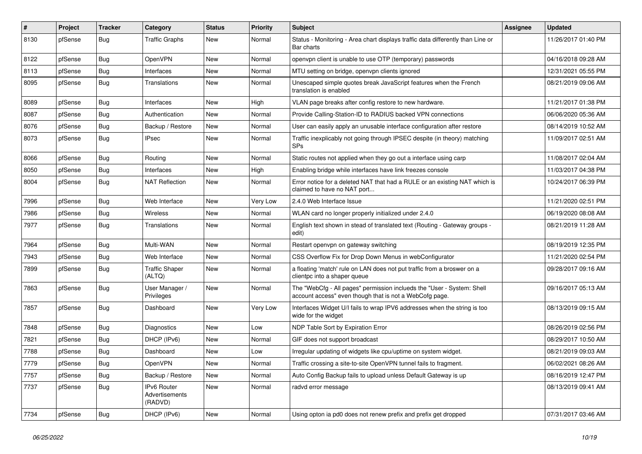| $\vert$ # | Project | <b>Tracker</b> | Category                                 | <b>Status</b> | <b>Priority</b> | <b>Subject</b>                                                                                                                    | <b>Assignee</b> | <b>Updated</b>      |
|-----------|---------|----------------|------------------------------------------|---------------|-----------------|-----------------------------------------------------------------------------------------------------------------------------------|-----------------|---------------------|
| 8130      | pfSense | Bug            | <b>Traffic Graphs</b>                    | New           | Normal          | Status - Monitoring - Area chart displays traffic data differently than Line or<br>Bar charts                                     |                 | 11/26/2017 01:40 PM |
| 8122      | pfSense | Bug            | OpenVPN                                  | New           | Normal          | openvpn client is unable to use OTP (temporary) passwords                                                                         |                 | 04/16/2018 09:28 AM |
| 8113      | pfSense | Bug            | Interfaces                               | New           | Normal          | MTU setting on bridge, openvpn clients ignored                                                                                    |                 | 12/31/2021 05:55 PM |
| 8095      | pfSense | Bug            | Translations                             | <b>New</b>    | Normal          | Unescaped simple quotes break JavaScript features when the French<br>translation is enabled                                       |                 | 08/21/2019 09:06 AM |
| 8089      | pfSense | Bug            | Interfaces                               | New           | High            | VLAN page breaks after config restore to new hardware.                                                                            |                 | 11/21/2017 01:38 PM |
| 8087      | pfSense | Bug            | Authentication                           | New           | Normal          | Provide Calling-Station-ID to RADIUS backed VPN connections                                                                       |                 | 06/06/2020 05:36 AM |
| 8076      | pfSense | <b>Bug</b>     | Backup / Restore                         | New           | Normal          | User can easily apply an unusable interface configuration after restore                                                           |                 | 08/14/2019 10:52 AM |
| 8073      | pfSense | Bug            | <b>IPsec</b>                             | New           | Normal          | Traffic inexplicably not going through IPSEC despite (in theory) matching<br><b>SPs</b>                                           |                 | 11/09/2017 02:51 AM |
| 8066      | pfSense | Bug            | Routing                                  | New           | Normal          | Static routes not applied when they go out a interface using carp                                                                 |                 | 11/08/2017 02:04 AM |
| 8050      | pfSense | Bug            | Interfaces                               | New           | High            | Enabling bridge while interfaces have link freezes console                                                                        |                 | 11/03/2017 04:38 PM |
| 8004      | pfSense | <b>Bug</b>     | <b>NAT Reflection</b>                    | New           | Normal          | Error notice for a deleted NAT that had a RULE or an existing NAT which is<br>claimed to have no NAT port                         |                 | 10/24/2017 06:39 PM |
| 7996      | pfSense | Bug            | Web Interface                            | New           | Very Low        | 2.4.0 Web Interface Issue                                                                                                         |                 | 11/21/2020 02:51 PM |
| 7986      | pfSense | <b>Bug</b>     | Wireless                                 | New           | Normal          | WLAN card no longer properly initialized under 2.4.0                                                                              |                 | 06/19/2020 08:08 AM |
| 7977      | pfSense | Bug            | Translations                             | New           | Normal          | English text shown in stead of translated text (Routing - Gateway groups -<br>edit)                                               |                 | 08/21/2019 11:28 AM |
| 7964      | pfSense | Bug            | Multi-WAN                                | New           | Normal          | Restart openvpn on gateway switching                                                                                              |                 | 08/19/2019 12:35 PM |
| 7943      | pfSense | Bug            | Web Interface                            | <b>New</b>    | Normal          | CSS Overflow Fix for Drop Down Menus in webConfigurator                                                                           |                 | 11/21/2020 02:54 PM |
| 7899      | pfSense | <b>Bug</b>     | <b>Traffic Shaper</b><br>(ALTQ)          | New           | Normal          | a floating 'match' rule on LAN does not put traffic from a broswer on a<br>clientpc into a shaper queue                           |                 | 09/28/2017 09:16 AM |
| 7863      | pfSense | Bug            | User Manager /<br>Privileges             | <b>New</b>    | Normal          | The "WebCfg - All pages" permission inclueds the "User - System: Shell<br>account access" even though that is not a WebCofg page. |                 | 09/16/2017 05:13 AM |
| 7857      | pfSense | Bug            | Dashboard                                | New           | Very Low        | Interfaces Widget U/I fails to wrap IPV6 addresses when the string is too<br>wide for the widget                                  |                 | 08/13/2019 09:15 AM |
| 7848      | pfSense | Bug            | Diagnostics                              | New           | Low             | NDP Table Sort by Expiration Error                                                                                                |                 | 08/26/2019 02:56 PM |
| 7821      | pfSense | Bug            | DHCP (IPv6)                              | <b>New</b>    | Normal          | GIF does not support broadcast                                                                                                    |                 | 08/29/2017 10:50 AM |
| 7788      | pfSense | Bug            | Dashboard                                | New           | Low             | Irregular updating of widgets like cpu/uptime on system widget.                                                                   |                 | 08/21/2019 09:03 AM |
| 7779      | pfSense | Bug            | OpenVPN                                  | New           | Normal          | Traffic crossing a site-to-site OpenVPN tunnel fails to fragment.                                                                 |                 | 06/02/2021 08:26 AM |
| 7757      | pfSense | <b>Bug</b>     | Backup / Restore                         | New           | Normal          | Auto Config Backup fails to upload unless Default Gateway is up                                                                   |                 | 08/16/2019 12:47 PM |
| 7737      | pfSense | <b>Bug</b>     | IPv6 Router<br>Advertisements<br>(RADVD) | New           | Normal          | radvd error message                                                                                                               |                 | 08/13/2019 09:41 AM |
| 7734      | pfSense | Bug            | DHCP (IPv6)                              | New           | Normal          | Using opton ia pd0 does not renew prefix and prefix get dropped                                                                   |                 | 07/31/2017 03:46 AM |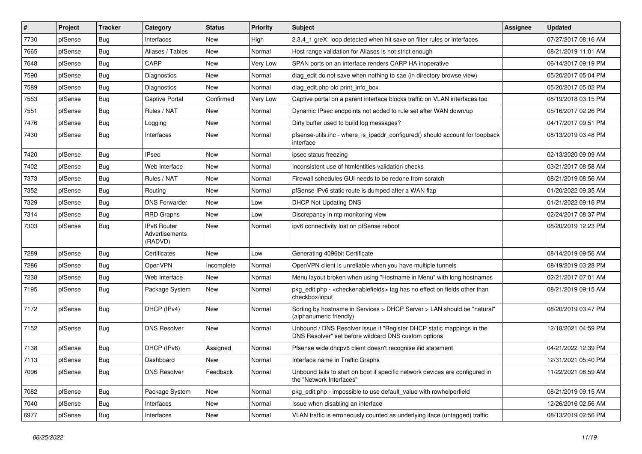| $\vert$ # | Project | <b>Tracker</b> | Category                                 | <b>Status</b> | <b>Priority</b> | <b>Subject</b>                                                                                                                | Assignee | <b>Updated</b>      |
|-----------|---------|----------------|------------------------------------------|---------------|-----------------|-------------------------------------------------------------------------------------------------------------------------------|----------|---------------------|
| 7730      | pfSense | Bug            | Interfaces                               | New           | High            | 2.3.4 1 greX: loop detected when hit save on filter rules or interfaces                                                       |          | 07/27/2017 08:16 AM |
| 7665      | pfSense | Bug            | Aliases / Tables                         | New           | Normal          | Host range validation for Aliases is not strict enough                                                                        |          | 08/21/2019 11:01 AM |
| 7648      | pfSense | Bug            | CARP                                     | New           | Very Low        | SPAN ports on an interface renders CARP HA inoperative                                                                        |          | 06/14/2017 09:19 PM |
| 7590      | pfSense | Bug            | Diagnostics                              | New           | Normal          | diag_edit do not save when nothing to sae (in directory browse view)                                                          |          | 05/20/2017 05:04 PM |
| 7589      | pfSense | Bug            | Diagnostics                              | New           | Normal          | diag_edit.php old print_info_box                                                                                              |          | 05/20/2017 05:02 PM |
| 7553      | pfSense | Bug            | Captive Portal                           | Confirmed     | Very Low        | Captive portal on a parent interface blocks traffic on VLAN interfaces too                                                    |          | 08/19/2018 03:15 PM |
| 7551      | pfSense | Bug            | Rules / NAT                              | New           | Normal          | Dynamic IPsec endpoints not added to rule set after WAN down/up                                                               |          | 05/16/2017 02:26 PM |
| 7476      | pfSense | Bug            | Logging                                  | New           | Normal          | Dirty buffer used to build log messages?                                                                                      |          | 04/17/2017 09:51 PM |
| 7430      | pfSense | Bug            | Interfaces                               | New           | Normal          | pfsense-utils.inc - where_is_ipaddr_configured() should account for loopback<br>interface                                     |          | 08/13/2019 03:48 PM |
| 7420      | pfSense | Bug            | <b>IPsec</b>                             | New           | Normal          | ipsec status freezing                                                                                                         |          | 02/13/2020 09:09 AM |
| 7402      | pfSense | Bug            | Web Interface                            | New           | Normal          | Inconsistent use of htmlentities validation checks                                                                            |          | 03/21/2017 08:58 AM |
| 7373      | pfSense | Bug            | Rules / NAT                              | New           | Normal          | Firewall schedules GUI needs to be redone from scratch                                                                        |          | 08/21/2019 08:56 AM |
| 7352      | pfSense | Bug            | Routing                                  | New           | Normal          | pfSense IPv6 static route is dumped after a WAN flap                                                                          |          | 01/20/2022 09:35 AM |
| 7329      | pfSense | Bug            | <b>DNS Forwarder</b>                     | New           | Low             | <b>DHCP Not Updating DNS</b>                                                                                                  |          | 01/21/2022 09:16 PM |
| 7314      | pfSense | Bug            | <b>RRD Graphs</b>                        | New           | Low             | Discrepancy in ntp monitoring view                                                                                            |          | 02/24/2017 08:37 PM |
| 7303      | pfSense | <b>Bug</b>     | IPv6 Router<br>Advertisements<br>(RADVD) | New           | Normal          | ipv6 connectivity lost on pfSense reboot                                                                                      |          | 08/20/2019 12:23 PM |
| 7289      | pfSense | Bug            | Certificates                             | New           | Low             | Generating 4096bit Certificate                                                                                                |          | 08/14/2019 09:56 AM |
| 7286      | pfSense | Bug            | OpenVPN                                  | Incomplete    | Normal          | OpenVPN client is unreliable when you have multiple tunnels                                                                   |          | 08/19/2019 03:28 PM |
| 7238      | pfSense | Bug            | Web Interface                            | New           | Normal          | Menu layout broken when using "Hostname in Menu" with long hostnames                                                          |          | 02/21/2017 07:01 AM |
| 7195      | pfSense | Bug            | Package System                           | New           | Normal          | pkg_edit.php - <checkenablefields> tag has no effect on fields other than<br/>checkbox/input</checkenablefields>              |          | 08/21/2019 09:15 AM |
| 7172      | pfSense | Bug            | DHCP (IPv4)                              | New           | Normal          | Sorting by hostname in Services > DHCP Server > LAN should be "natural"<br>(alphanumeric friendly)                            |          | 08/20/2019 03:47 PM |
| 7152      | pfSense | Bug            | <b>DNS Resolver</b>                      | New           | Normal          | Unbound / DNS Resolver issue if "Register DHCP static mappings in the<br>DNS Resolver" set before wildcard DNS custom options |          | 12/18/2021 04:59 PM |
| 7138      | pfSense | Bug            | DHCP (IPv6)                              | Assigned      | Normal          | Pfsense wide dhcpv6 client doesn't recognise ifid statement                                                                   |          | 04/21/2022 12:39 PM |
| 7113      | pfSense | Bug            | Dashboard                                | New           | Normal          | Interface name in Traffic Graphs                                                                                              |          | 12/31/2021 05:40 PM |
| 7096      | pfSense | Bug            | <b>DNS Resolver</b>                      | Feedback      | Normal          | Unbound fails to start on boot if specific network devices are configured in<br>the "Network Interfaces"                      |          | 11/22/2021 08:59 AM |
| 7082      | pfSense | <b>Bug</b>     | Package System                           | New           | Normal          | pkg edit.php - impossible to use default value with rowhelperfield                                                            |          | 08/21/2019 09:15 AM |
| 7040      | pfSense | <b>Bug</b>     | Interfaces                               | New           | Normal          | Issue when disabling an interface                                                                                             |          | 12/26/2016 02:56 AM |
| 6977      | pfSense | Bug            | Interfaces                               | New           | Normal          | VLAN traffic is erroneously counted as underlying iface (untagged) traffic                                                    |          | 08/13/2019 02:56 PM |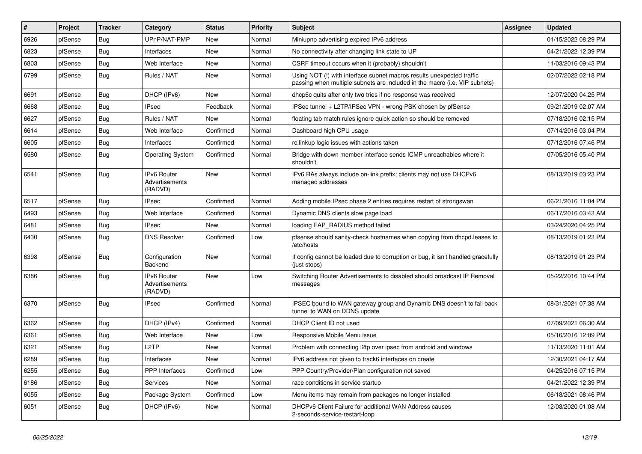| $\vert$ # | Project | <b>Tracker</b> | Category                                 | <b>Status</b> | <b>Priority</b> | <b>Subject</b>                                                                                                                                      | Assignee | <b>Updated</b>      |
|-----------|---------|----------------|------------------------------------------|---------------|-----------------|-----------------------------------------------------------------------------------------------------------------------------------------------------|----------|---------------------|
| 6926      | pfSense | <b>Bug</b>     | UPnP/NAT-PMP                             | New           | Normal          | Miniupnp advertising expired IPv6 address                                                                                                           |          | 01/15/2022 08:29 PM |
| 6823      | pfSense | <b>Bug</b>     | Interfaces                               | <b>New</b>    | Normal          | No connectivity after changing link state to UP                                                                                                     |          | 04/21/2022 12:39 PM |
| 6803      | pfSense | <b>Bug</b>     | Web Interface                            | <b>New</b>    | Normal          | CSRF timeout occurs when it (probably) shouldn't                                                                                                    |          | 11/03/2016 09:43 PM |
| 6799      | pfSense | <b>Bug</b>     | Rules / NAT                              | <b>New</b>    | Normal          | Using NOT (!) with interface subnet macros results unexpected traffic<br>passing when multiple subnets are included in the macro (i.e. VIP subnets) |          | 02/07/2022 02:18 PM |
| 6691      | pfSense | <b>Bug</b>     | DHCP (IPv6)                              | <b>New</b>    | Normal          | dhcp6c quits after only two tries if no response was received                                                                                       |          | 12/07/2020 04:25 PM |
| 6668      | pfSense | <b>Bug</b>     | <b>IPsec</b>                             | Feedback      | Normal          | IPSec tunnel + L2TP/IPSec VPN - wrong PSK chosen by pfSense                                                                                         |          | 09/21/2019 02:07 AM |
| 6627      | pfSense | <b>Bug</b>     | Rules / NAT                              | <b>New</b>    | Normal          | floating tab match rules ignore quick action so should be removed                                                                                   |          | 07/18/2016 02:15 PM |
| 6614      | pfSense | <b>Bug</b>     | Web Interface                            | Confirmed     | Normal          | Dashboard high CPU usage                                                                                                                            |          | 07/14/2016 03:04 PM |
| 6605      | pfSense | <b>Bug</b>     | Interfaces                               | Confirmed     | Normal          | rc.linkup logic issues with actions taken                                                                                                           |          | 07/12/2016 07:46 PM |
| 6580      | pfSense | <b>Bug</b>     | <b>Operating System</b>                  | Confirmed     | Normal          | Bridge with down member interface sends ICMP unreachables where it<br>shouldn't                                                                     |          | 07/05/2016 05:40 PM |
| 6541      | pfSense | <b>Bug</b>     | IPv6 Router<br>Advertisements<br>(RADVD) | <b>New</b>    | Normal          | IPv6 RAs always include on-link prefix; clients may not use DHCPv6<br>managed addresses                                                             |          | 08/13/2019 03:23 PM |
| 6517      | pfSense | <b>Bug</b>     | <b>IPsec</b>                             | Confirmed     | Normal          | Adding mobile IPsec phase 2 entries requires restart of strongswan                                                                                  |          | 06/21/2016 11:04 PM |
| 6493      | pfSense | <b>Bug</b>     | Web Interface                            | Confirmed     | Normal          | Dynamic DNS clients slow page load                                                                                                                  |          | 06/17/2016 03:43 AM |
| 6481      | pfSense | <b>Bug</b>     | <b>IPsec</b>                             | New           | Normal          | loading EAP_RADIUS method failed                                                                                                                    |          | 03/24/2020 04:25 PM |
| 6430      | pfSense | <b>Bug</b>     | <b>DNS Resolver</b>                      | Confirmed     | Low             | pfsense should sanity-check hostnames when copying from dhcpd.leases to<br>/etc/hosts                                                               |          | 08/13/2019 01:23 PM |
| 6398      | pfSense | <b>Bug</b>     | Configuration<br>Backend                 | <b>New</b>    | Normal          | If config cannot be loaded due to corruption or bug, it isn't handled gracefully<br>(just stops)                                                    |          | 08/13/2019 01:23 PM |
| 6386      | pfSense | <b>Bug</b>     | IPv6 Router<br>Advertisements<br>(RADVD) | New           | Low             | Switching Router Advertisements to disabled should broadcast IP Removal<br>messages                                                                 |          | 05/22/2016 10:44 PM |
| 6370      | pfSense | <b>Bug</b>     | <b>IPsec</b>                             | Confirmed     | Normal          | IPSEC bound to WAN gateway group and Dynamic DNS doesn't to fail back<br>tunnel to WAN on DDNS update                                               |          | 08/31/2021 07:38 AM |
| 6362      | pfSense | <b>Bug</b>     | DHCP (IPv4)                              | Confirmed     | Normal          | DHCP Client ID not used                                                                                                                             |          | 07/09/2021 06:30 AM |
| 6361      | pfSense | <b>Bug</b>     | Web Interface                            | New           | Low             | Responsive Mobile Menu issue                                                                                                                        |          | 05/16/2016 12:09 PM |
| 6321      | pfSense | <b>Bug</b>     | L <sub>2</sub> TP                        | New           | Normal          | Problem with connecting I2tp over ipsec from android and windows                                                                                    |          | 11/13/2020 11:01 AM |
| 6289      | pfSense | <b>Bug</b>     | Interfaces                               | New           | Normal          | IPv6 address not given to track6 interfaces on create                                                                                               |          | 12/30/2021 04:17 AM |
| 6255      | pfSense | Bug            | PPP Interfaces                           | Confirmed     | Low             | PPP Country/Provider/Plan configuration not saved                                                                                                   |          | 04/25/2016 07:15 PM |
| 6186      | pfSense | <b>Bug</b>     | Services                                 | New           | Normal          | race conditions in service startup                                                                                                                  |          | 04/21/2022 12:39 PM |
| 6055      | pfSense | <b>Bug</b>     | Package System                           | Confirmed     | Low             | Menu items may remain from packages no longer installed                                                                                             |          | 06/18/2021 08:46 PM |
| 6051      | pfSense | <b>Bug</b>     | DHCP (IPv6)                              | New           | Normal          | DHCPv6 Client Failure for additional WAN Address causes<br>2-seconds-service-restart-loop                                                           |          | 12/03/2020 01:08 AM |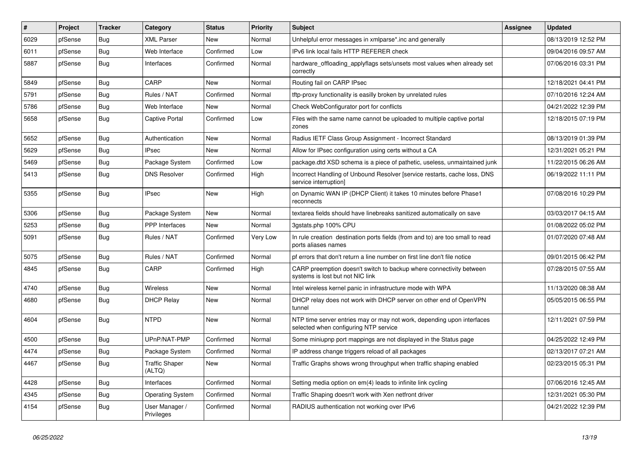| #    | Project | <b>Tracker</b> | Category                        | <b>Status</b> | <b>Priority</b> | <b>Subject</b>                                                                                                  | Assignee | <b>Updated</b>      |
|------|---------|----------------|---------------------------------|---------------|-----------------|-----------------------------------------------------------------------------------------------------------------|----------|---------------------|
| 6029 | pfSense | Bug            | <b>XML Parser</b>               | New           | Normal          | Unhelpful error messages in xmlparse*.inc and generally                                                         |          | 08/13/2019 12:52 PM |
| 6011 | pfSense | Bug            | Web Interface                   | Confirmed     | Low             | IPv6 link local fails HTTP REFERER check                                                                        |          | 09/04/2016 09:57 AM |
| 5887 | pfSense | Bug            | Interfaces                      | Confirmed     | Normal          | hardware_offloading_applyflags sets/unsets most values when already set<br>correctly                            |          | 07/06/2016 03:31 PM |
| 5849 | pfSense | <b>Bug</b>     | CARP                            | New           | Normal          | Routing fail on CARP IPsec                                                                                      |          | 12/18/2021 04:41 PM |
| 5791 | pfSense | Bug            | Rules / NAT                     | Confirmed     | Normal          | tftp-proxy functionality is easilly broken by unrelated rules                                                   |          | 07/10/2016 12:24 AM |
| 5786 | pfSense | Bug            | Web Interface                   | New           | Normal          | Check WebConfigurator port for conflicts                                                                        |          | 04/21/2022 12:39 PM |
| 5658 | pfSense | Bug            | <b>Captive Portal</b>           | Confirmed     | Low             | Files with the same name cannot be uploaded to multiple captive portal<br>zones                                 |          | 12/18/2015 07:19 PM |
| 5652 | pfSense | Bug            | Authentication                  | New           | Normal          | Radius IETF Class Group Assignment - Incorrect Standard                                                         |          | 08/13/2019 01:39 PM |
| 5629 | pfSense | Bug            | <b>IPsec</b>                    | New           | Normal          | Allow for IPsec configuration using certs without a CA                                                          |          | 12/31/2021 05:21 PM |
| 5469 | pfSense | Bug            | Package System                  | Confirmed     | Low             | package.dtd XSD schema is a piece of pathetic, useless, unmaintained junk                                       |          | 11/22/2015 06:26 AM |
| 5413 | pfSense | Bug            | <b>DNS Resolver</b>             | Confirmed     | High            | Incorrect Handling of Unbound Resolver [service restarts, cache loss, DNS<br>service interruption]              |          | 06/19/2022 11:11 PM |
| 5355 | pfSense | Bug            | IPsec                           | New           | High            | on Dynamic WAN IP (DHCP Client) it takes 10 minutes before Phase1<br>reconnects                                 |          | 07/08/2016 10:29 PM |
| 5306 | pfSense | Bug            | Package System                  | New           | Normal          | textarea fields should have linebreaks sanitized automatically on save                                          |          | 03/03/2017 04:15 AM |
| 5253 | pfSense | Bug            | <b>PPP</b> Interfaces           | New           | Normal          | 3qstats.php 100% CPU                                                                                            |          | 01/08/2022 05:02 PM |
| 5091 | pfSense | Bug            | Rules / NAT                     | Confirmed     | Very Low        | In rule creation destination ports fields (from and to) are too small to read<br>ports aliases names            |          | 01/07/2020 07:48 AM |
| 5075 | pfSense | Bug            | Rules / NAT                     | Confirmed     | Normal          | pf errors that don't return a line number on first line don't file notice                                       |          | 09/01/2015 06:42 PM |
| 4845 | pfSense | Bug            | CARP                            | Confirmed     | High            | CARP preemption doesn't switch to backup where connectivity between<br>systems is lost but not NIC link         |          | 07/28/2015 07:55 AM |
| 4740 | pfSense | Bug            | Wireless                        | <b>New</b>    | Normal          | Intel wireless kernel panic in infrastructure mode with WPA                                                     |          | 11/13/2020 08:38 AM |
| 4680 | pfSense | Bug            | <b>DHCP Relay</b>               | New           | Normal          | DHCP relay does not work with DHCP server on other end of OpenVPN<br>tunnel                                     |          | 05/05/2015 06:55 PM |
| 4604 | pfSense | Bug            | <b>NTPD</b>                     | <b>New</b>    | Normal          | NTP time server entries may or may not work, depending upon interfaces<br>selected when configuring NTP service |          | 12/11/2021 07:59 PM |
| 4500 | pfSense | Bug            | UPnP/NAT-PMP                    | Confirmed     | Normal          | Some miniupnp port mappings are not displayed in the Status page                                                |          | 04/25/2022 12:49 PM |
| 4474 | pfSense | Bug            | Package System                  | Confirmed     | Normal          | IP address change triggers reload of all packages                                                               |          | 02/13/2017 07:21 AM |
| 4467 | pfSense | Bug            | <b>Traffic Shaper</b><br>(ALTQ) | New           | Normal          | Traffic Graphs shows wrong throughput when traffic shaping enabled                                              |          | 02/23/2015 05:31 PM |
| 4428 | pfSense | Bug            | Interfaces                      | Confirmed     | Normal          | Setting media option on em(4) leads to infinite link cycling                                                    |          | 07/06/2016 12:45 AM |
| 4345 | pfSense | Bug            | <b>Operating System</b>         | Confirmed     | Normal          | Traffic Shaping doesn't work with Xen netfront driver                                                           |          | 12/31/2021 05:30 PM |
| 4154 | pfSense | <b>Bug</b>     | User Manager /<br>Privileges    | Confirmed     | Normal          | RADIUS authentication not working over IPv6                                                                     |          | 04/21/2022 12:39 PM |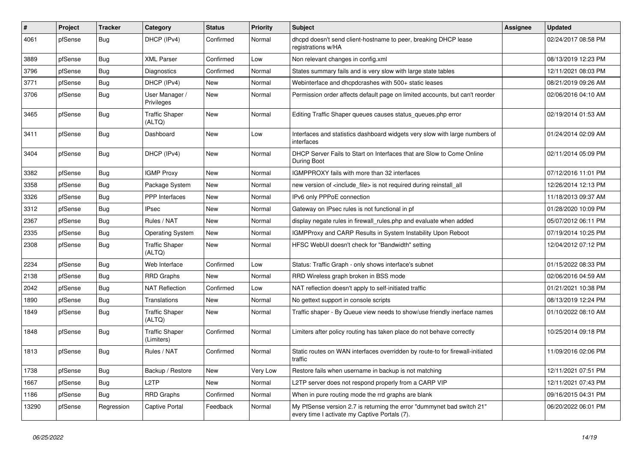| $\sharp$ | Project | <b>Tracker</b> | Category                            | <b>Status</b> | <b>Priority</b> | <b>Subject</b>                                                                                                          | <b>Assignee</b> | <b>Updated</b>      |
|----------|---------|----------------|-------------------------------------|---------------|-----------------|-------------------------------------------------------------------------------------------------------------------------|-----------------|---------------------|
| 4061     | pfSense | Bug            | DHCP (IPv4)                         | Confirmed     | Normal          | dhcpd doesn't send client-hostname to peer, breaking DHCP lease<br>registrations w/HA                                   |                 | 02/24/2017 08:58 PM |
| 3889     | pfSense | <b>Bug</b>     | <b>XML Parser</b>                   | Confirmed     | Low             | Non relevant changes in config.xml                                                                                      |                 | 08/13/2019 12:23 PM |
| 3796     | pfSense | <b>Bug</b>     | Diagnostics                         | Confirmed     | Normal          | States summary fails and is very slow with large state tables                                                           |                 | 12/11/2021 08:03 PM |
| 3771     | pfSense | <b>Bug</b>     | DHCP (IPv4)                         | <b>New</b>    | Normal          | Webinterface and dhcpdcrashes with 500+ static leases                                                                   |                 | 08/21/2019 09:26 AM |
| 3706     | pfSense | Bug            | User Manager /<br>Privileges        | New           | Normal          | Permission order affects default page on limited accounts, but can't reorder                                            |                 | 02/06/2016 04:10 AM |
| 3465     | pfSense | <b>Bug</b>     | <b>Traffic Shaper</b><br>(ALTQ)     | <b>New</b>    | Normal          | Editing Traffic Shaper queues causes status queues.php error                                                            |                 | 02/19/2014 01:53 AM |
| 3411     | pfSense | <b>Bug</b>     | Dashboard                           | <b>New</b>    | Low             | Interfaces and statistics dashboard widgets very slow with large numbers of<br>interfaces                               |                 | 01/24/2014 02:09 AM |
| 3404     | pfSense | Bug            | DHCP (IPv4)                         | New           | Normal          | DHCP Server Fails to Start on Interfaces that are Slow to Come Online<br>During Boot                                    |                 | 02/11/2014 05:09 PM |
| 3382     | pfSense | <b>Bug</b>     | <b>IGMP Proxy</b>                   | <b>New</b>    | Normal          | IGMPPROXY fails with more than 32 interfaces                                                                            |                 | 07/12/2016 11:01 PM |
| 3358     | pfSense | <b>Bug</b>     | Package System                      | <b>New</b>    | Normal          | new version of <include_file> is not required during reinstall_all</include_file>                                       |                 | 12/26/2014 12:13 PM |
| 3326     | pfSense | <b>Bug</b>     | PPP Interfaces                      | <b>New</b>    | Normal          | IPv6 only PPPoE connection                                                                                              |                 | 11/18/2013 09:37 AM |
| 3312     | pfSense | <b>Bug</b>     | <b>IPsec</b>                        | <b>New</b>    | Normal          | Gateway on IPsec rules is not functional in pf                                                                          |                 | 01/28/2020 10:09 PM |
| 2367     | pfSense | <b>Bug</b>     | Rules / NAT                         | <b>New</b>    | Normal          | display negate rules in firewall rules php and evaluate when added                                                      |                 | 05/07/2012 06:11 PM |
| 2335     | pfSense | <b>Bug</b>     | <b>Operating System</b>             | <b>New</b>    | Normal          | IGMPProxy and CARP Results in System Instability Upon Reboot                                                            |                 | 07/19/2014 10:25 PM |
| 2308     | pfSense | Bug            | <b>Traffic Shaper</b><br>(ALTQ)     | <b>New</b>    | Normal          | HFSC WebUI doesn't check for "Bandwidth" setting                                                                        |                 | 12/04/2012 07:12 PM |
| 2234     | pfSense | Bug            | Web Interface                       | Confirmed     | Low             | Status: Traffic Graph - only shows interface's subnet                                                                   |                 | 01/15/2022 08:33 PM |
| 2138     | pfSense | Bug            | <b>RRD Graphs</b>                   | New           | Normal          | RRD Wireless graph broken in BSS mode                                                                                   |                 | 02/06/2016 04:59 AM |
| 2042     | pfSense | <b>Bug</b>     | <b>NAT Reflection</b>               | Confirmed     | Low             | NAT reflection doesn't apply to self-initiated traffic                                                                  |                 | 01/21/2021 10:38 PM |
| 1890     | pfSense | Bug            | Translations                        | New           | Normal          | No gettext support in console scripts                                                                                   |                 | 08/13/2019 12:24 PM |
| 1849     | pfSense | Bug            | <b>Traffic Shaper</b><br>(ALTQ)     | New           | Normal          | Traffic shaper - By Queue view needs to show/use friendly inerface names                                                |                 | 01/10/2022 08:10 AM |
| 1848     | pfSense | <b>Bug</b>     | <b>Traffic Shaper</b><br>(Limiters) | Confirmed     | Normal          | Limiters after policy routing has taken place do not behave correctly                                                   |                 | 10/25/2014 09:18 PM |
| 1813     | pfSense | Bug            | Rules / NAT                         | Confirmed     | Normal          | Static routes on WAN interfaces overridden by route-to for firewall-initiated<br>traffic                                |                 | 11/09/2016 02:06 PM |
| 1738     | pfSense | Bug            | Backup / Restore                    | New           | Very Low        | Restore fails when username in backup is not matching                                                                   |                 | 12/11/2021 07:51 PM |
| 1667     | pfSense | Bug            | L <sub>2</sub> TP                   | New           | Normal          | L2TP server does not respond properly from a CARP VIP                                                                   |                 | 12/11/2021 07:43 PM |
| 1186     | pfSense | Bug            | RRD Graphs                          | Confirmed     | Normal          | When in pure routing mode the rrd graphs are blank                                                                      |                 | 09/16/2015 04:31 PM |
| 13290    | pfSense | Regression     | Captive Portal                      | Feedback      | Normal          | My PfSense version 2.7 is returning the error "dummynet bad switch 21"<br>every time I activate my Captive Portals (7). |                 | 06/20/2022 06:01 PM |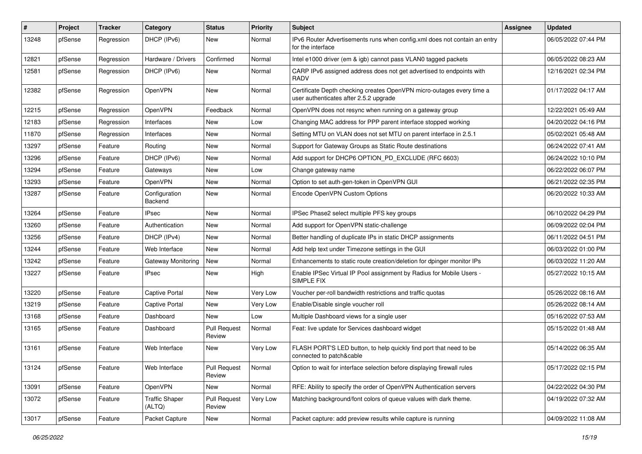| $\vert$ # | Project | <b>Tracker</b> | Category                        | <b>Status</b>                 | <b>Priority</b> | <b>Subject</b>                                                                                                  | Assignee | <b>Updated</b>      |
|-----------|---------|----------------|---------------------------------|-------------------------------|-----------------|-----------------------------------------------------------------------------------------------------------------|----------|---------------------|
| 13248     | pfSense | Regression     | DHCP (IPv6)                     | <b>New</b>                    | Normal          | IPv6 Router Advertisements runs when config.xml does not contain an entry<br>for the interface                  |          | 06/05/2022 07:44 PM |
| 12821     | pfSense | Regression     | Hardware / Drivers              | Confirmed                     | Normal          | Intel e1000 driver (em & igb) cannot pass VLAN0 tagged packets                                                  |          | 06/05/2022 08:23 AM |
| 12581     | pfSense | Regression     | DHCP (IPv6)                     | New                           | Normal          | CARP IPv6 assigned address does not get advertised to endpoints with<br><b>RADV</b>                             |          | 12/16/2021 02:34 PM |
| 12382     | pfSense | Regression     | OpenVPN                         | <b>New</b>                    | Normal          | Certificate Depth checking creates OpenVPN micro-outages every time a<br>user authenticates after 2.5.2 upgrade |          | 01/17/2022 04:17 AM |
| 12215     | pfSense | Regression     | OpenVPN                         | Feedback                      | Normal          | OpenVPN does not resync when running on a gateway group                                                         |          | 12/22/2021 05:49 AM |
| 12183     | pfSense | Regression     | Interfaces                      | New                           | Low             | Changing MAC address for PPP parent interface stopped working                                                   |          | 04/20/2022 04:16 PM |
| 11870     | pfSense | Regression     | Interfaces                      | <b>New</b>                    | Normal          | Setting MTU on VLAN does not set MTU on parent interface in 2.5.1                                               |          | 05/02/2021 05:48 AM |
| 13297     | pfSense | Feature        | Routing                         | New                           | Normal          | Support for Gateway Groups as Static Route destinations                                                         |          | 06/24/2022 07:41 AM |
| 13296     | pfSense | Feature        | DHCP (IPv6)                     | <b>New</b>                    | Normal          | Add support for DHCP6 OPTION PD EXCLUDE (RFC 6603)                                                              |          | 06/24/2022 10:10 PM |
| 13294     | pfSense | Feature        | Gateways                        | <b>New</b>                    | Low             | Change gateway name                                                                                             |          | 06/22/2022 06:07 PM |
| 13293     | pfSense | Feature        | OpenVPN                         | New                           | Normal          | Option to set auth-gen-token in OpenVPN GUI                                                                     |          | 06/21/2022 02:35 PM |
| 13287     | pfSense | Feature        | Configuration<br>Backend        | New                           | Normal          | Encode OpenVPN Custom Options                                                                                   |          | 06/20/2022 10:33 AM |
| 13264     | pfSense | Feature        | <b>IPsec</b>                    | <b>New</b>                    | Normal          | IPSec Phase2 select multiple PFS key groups                                                                     |          | 06/10/2022 04:29 PM |
| 13260     | pfSense | Feature        | Authentication                  | <b>New</b>                    | Normal          | Add support for OpenVPN static-challenge                                                                        |          | 06/09/2022 02:04 PM |
| 13256     | pfSense | Feature        | DHCP (IPv4)                     | New                           | Normal          | Better handling of duplicate IPs in static DHCP assignments                                                     |          | 06/11/2022 04:51 PM |
| 13244     | pfSense | Feature        | Web Interface                   | <b>New</b>                    | Normal          | Add help text under Timezone settings in the GUI                                                                |          | 06/03/2022 01:00 PM |
| 13242     | pfSense | Feature        | <b>Gateway Monitoring</b>       | <b>New</b>                    | Normal          | Enhancements to static route creation/deletion for dpinger monitor IPs                                          |          | 06/03/2022 11:20 AM |
| 13227     | pfSense | Feature        | <b>IPsec</b>                    | New                           | High            | Enable IPSec Virtual IP Pool assignment by Radius for Mobile Users -<br>SIMPLE FIX                              |          | 05/27/2022 10:15 AM |
| 13220     | pfSense | Feature        | <b>Captive Portal</b>           | <b>New</b>                    | Very Low        | Voucher per-roll bandwidth restrictions and traffic quotas                                                      |          | 05/26/2022 08:16 AM |
| 13219     | pfSense | Feature        | Captive Portal                  | New                           | Very Low        | Enable/Disable single voucher roll                                                                              |          | 05/26/2022 08:14 AM |
| 13168     | pfSense | Feature        | Dashboard                       | <b>New</b>                    | Low             | Multiple Dashboard views for a single user                                                                      |          | 05/16/2022 07:53 AM |
| 13165     | pfSense | Feature        | Dashboard                       | <b>Pull Request</b><br>Review | Normal          | Feat: live update for Services dashboard widget                                                                 |          | 05/15/2022 01:48 AM |
| 13161     | pfSense | Feature        | Web Interface                   | <b>New</b>                    | Very Low        | FLASH PORT'S LED button, to help quickly find port that need to be<br>connected to patch&cable                  |          | 05/14/2022 06:35 AM |
| 13124     | pfSense | Feature        | Web Interface                   | <b>Pull Request</b><br>Review | Normal          | Option to wait for interface selection before displaying firewall rules                                         |          | 05/17/2022 02:15 PM |
| 13091     | pfSense | Feature        | OpenVPN                         | New                           | Normal          | RFE: Ability to specify the order of OpenVPN Authentication servers                                             |          | 04/22/2022 04:30 PM |
| 13072     | pfSense | Feature        | <b>Traffic Shaper</b><br>(ALTQ) | Pull Request<br>Review        | Very Low        | Matching background/font colors of queue values with dark theme.                                                |          | 04/19/2022 07:32 AM |
| 13017     | pfSense | Feature        | Packet Capture                  | New                           | Normal          | Packet capture: add preview results while capture is running                                                    |          | 04/09/2022 11:08 AM |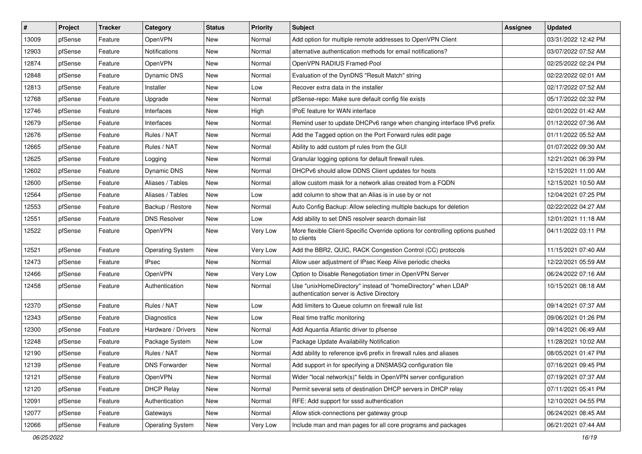| #     | Project | <b>Tracker</b> | Category                | <b>Status</b> | <b>Priority</b> | <b>Subject</b>                                                                                            | Assignee | <b>Updated</b>      |
|-------|---------|----------------|-------------------------|---------------|-----------------|-----------------------------------------------------------------------------------------------------------|----------|---------------------|
| 13009 | pfSense | Feature        | <b>OpenVPN</b>          | New           | Normal          | Add option for multiple remote addresses to OpenVPN Client                                                |          | 03/31/2022 12:42 PM |
| 12903 | pfSense | Feature        | <b>Notifications</b>    | New           | Normal          | alternative authentication methods for email notifications?                                               |          | 03/07/2022 07:52 AM |
| 12874 | pfSense | Feature        | OpenVPN                 | New           | Normal          | OpenVPN RADIUS Framed-Pool                                                                                |          | 02/25/2022 02:24 PM |
| 12848 | pfSense | Feature        | <b>Dynamic DNS</b>      | New           | Normal          | Evaluation of the DynDNS "Result Match" string                                                            |          | 02/22/2022 02:01 AM |
| 12813 | pfSense | Feature        | Installer               | New           | Low             | Recover extra data in the installer                                                                       |          | 02/17/2022 07:52 AM |
| 12768 | pfSense | Feature        | Upgrade                 | New           | Normal          | pfSense-repo: Make sure default config file exists                                                        |          | 05/17/2022 02:32 PM |
| 12746 | pfSense | Feature        | Interfaces              | New           | High            | <b>IPoE</b> feature for WAN interface                                                                     |          | 02/01/2022 01:42 AM |
| 12679 | pfSense | Feature        | Interfaces              | New           | Normal          | Remind user to update DHCPv6 range when changing interface IPv6 prefix                                    |          | 01/12/2022 07:36 AM |
| 12676 | pfSense | Feature        | Rules / NAT             | New           | Normal          | Add the Tagged option on the Port Forward rules edit page                                                 |          | 01/11/2022 05:52 AM |
| 12665 | pfSense | Feature        | Rules / NAT             | <b>New</b>    | Normal          | Ability to add custom pf rules from the GUI                                                               |          | 01/07/2022 09:30 AM |
| 12625 | pfSense | Feature        | Logging                 | New           | Normal          | Granular logging options for default firewall rules.                                                      |          | 12/21/2021 06:39 PM |
| 12602 | pfSense | Feature        | <b>Dynamic DNS</b>      | New           | Normal          | DHCPv6 should allow DDNS Client updates for hosts                                                         |          | 12/15/2021 11:00 AM |
| 12600 | pfSense | Feature        | Aliases / Tables        | <b>New</b>    | Normal          | allow custom mask for a network alias created from a FQDN                                                 |          | 12/15/2021 10:50 AM |
| 12564 | pfSense | Feature        | Aliases / Tables        | New           | Low             | add column to show that an Alias is in use by or not                                                      |          | 12/04/2021 07:25 PM |
| 12553 | pfSense | Feature        | Backup / Restore        | New           | Normal          | Auto Config Backup: Allow selecting multiple backups for deletion                                         |          | 02/22/2022 04:27 AM |
| 12551 | pfSense | Feature        | <b>DNS Resolver</b>     | New           | Low             | Add ability to set DNS resolver search domain list                                                        |          | 12/01/2021 11:18 AM |
| 12522 | pfSense | Feature        | OpenVPN                 | New           | Very Low        | More flexible Client-Specific Override options for controlling options pushed<br>to clients               |          | 04/11/2022 03:11 PM |
| 12521 | pfSense | Feature        | <b>Operating System</b> | <b>New</b>    | Very Low        | Add the BBR2, QUIC, RACK Congestion Control (CC) protocols                                                |          | 11/15/2021 07:40 AM |
| 12473 | pfSense | Feature        | <b>IPsec</b>            | New           | Normal          | Allow user adjustment of IPsec Keep Alive periodic checks                                                 |          | 12/22/2021 05:59 AM |
| 12466 | pfSense | Feature        | OpenVPN                 | <b>New</b>    | Very Low        | Option to Disable Renegotiation timer in OpenVPN Server                                                   |          | 06/24/2022 07:16 AM |
| 12458 | pfSense | Feature        | Authentication          | New           | Normal          | Use "unixHomeDirectory" instead of "homeDirectory" when LDAP<br>authentication server is Active Directory |          | 10/15/2021 08:18 AM |
| 12370 | pfSense | Feature        | Rules / NAT             | New           | Low             | Add limiters to Queue column on firewall rule list                                                        |          | 09/14/2021 07:37 AM |
| 12343 | pfSense | Feature        | <b>Diagnostics</b>      | New           | Low             | Real time traffic monitoring                                                                              |          | 09/06/2021 01:26 PM |
| 12300 | pfSense | Feature        | Hardware / Drivers      | New           | Normal          | Add Aquantia Atlantic driver to pfsense                                                                   |          | 09/14/2021 06:49 AM |
| 12248 | pfSense | Feature        | Package System          | New           | Low             | Package Update Availability Notification                                                                  |          | 11/28/2021 10:02 AM |
| 12190 | pfSense | Feature        | Rules / NAT             | New           | Normal          | Add ability to reference ipv6 prefix in firewall rules and aliases                                        |          | 08/05/2021 01:47 PM |
| 12139 | pfSense | Feature        | <b>DNS Forwarder</b>    | New           | Normal          | Add support in for specifying a DNSMASQ configuration file                                                |          | 07/16/2021 09:45 PM |
| 12121 | pfSense | Feature        | OpenVPN                 | New           | Normal          | Wider "local network(s)" fields in OpenVPN server configuration                                           |          | 07/19/2021 07:37 AM |
| 12120 | pfSense | Feature        | <b>DHCP Relay</b>       | New           | Normal          | Permit several sets of destination DHCP servers in DHCP relay                                             |          | 07/11/2021 05:41 PM |
| 12091 | pfSense | Feature        | Authentication          | New           | Normal          | RFE: Add support for sssd authentication                                                                  |          | 12/10/2021 04:55 PM |
| 12077 | pfSense | Feature        | Gateways                | New           | Normal          | Allow stick-connections per gateway group                                                                 |          | 06/24/2021 08:45 AM |
| 12066 | pfSense | Feature        | <b>Operating System</b> | New           | Very Low        | Include man and man pages for all core programs and packages                                              |          | 06/21/2021 07:44 AM |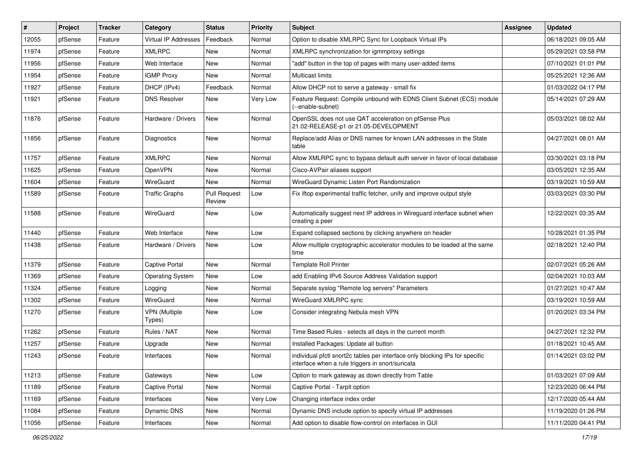| #     | Project | <b>Tracker</b> | Category                       | <b>Status</b>                 | <b>Priority</b> | <b>Subject</b>                                                                                                                   | Assignee | <b>Updated</b>      |
|-------|---------|----------------|--------------------------------|-------------------------------|-----------------|----------------------------------------------------------------------------------------------------------------------------------|----------|---------------------|
| 12055 | pfSense | Feature        | <b>Virtual IP Addresses</b>    | Feedback                      | Normal          | Option to disable XMLRPC Sync for Loopback Virtual IPs                                                                           |          | 06/18/2021 09:05 AM |
| 11974 | pfSense | Feature        | <b>XMLRPC</b>                  | New                           | Normal          | XMLRPC synchronization for igmmproxy settings                                                                                    |          | 05/29/2021 03:58 PM |
| 11956 | pfSense | Feature        | Web Interface                  | New                           | Normal          | "add" button in the top of pages with many user-added items                                                                      |          | 07/10/2021 01:01 PM |
| 11954 | pfSense | Feature        | <b>IGMP Proxy</b>              | New                           | Normal          | Multicast limits                                                                                                                 |          | 05/25/2021 12:36 AM |
| 11927 | pfSense | Feature        | DHCP (IPv4)                    | Feedback                      | Normal          | Allow DHCP not to serve a gateway - small fix                                                                                    |          | 01/03/2022 04:17 PM |
| 11921 | pfSense | Feature        | <b>DNS Resolver</b>            | New                           | Very Low        | Feature Request: Compile unbound with EDNS Client Subnet (ECS) module<br>(--enable-subnet)                                       |          | 05/14/2021 07:29 AM |
| 11876 | pfSense | Feature        | Hardware / Drivers             | <b>New</b>                    | Normal          | OpenSSL does not use QAT acceleration on pfSense Plus<br>21.02-RELEASE-p1 or 21.05-DEVELOPMENT                                   |          | 05/03/2021 08:02 AM |
| 11856 | pfSense | Feature        | Diagnostics                    | New                           | Normal          | Replace/add Alias or DNS names for known LAN addresses in the State<br>table                                                     |          | 04/27/2021 08:01 AM |
| 11757 | pfSense | Feature        | <b>XMLRPC</b>                  | New                           | Normal          | Allow XMLRPC sync to bypass default auth server in favor of local database                                                       |          | 03/30/2021 03:18 PM |
| 11625 | pfSense | Feature        | OpenVPN                        | New                           | Normal          | Cisco-AVPair aliases support                                                                                                     |          | 03/05/2021 12:35 AM |
| 11604 | pfSense | Feature        | WireGuard                      | New                           | Normal          | WireGuard Dynamic Listen Port Randomization                                                                                      |          | 03/19/2021 10:59 AM |
| 11589 | pfSense | Feature        | <b>Traffic Graphs</b>          | <b>Pull Request</b><br>Review | Low             | Fix iftop experimental traffic fetcher, unify and improve output style                                                           |          | 03/03/2021 03:30 PM |
| 11588 | pfSense | Feature        | WireGuard                      | New                           | Low             | Automatically suggest next IP address in Wireguard interface subnet when<br>creating a peer                                      |          | 12/22/2021 03:35 AM |
| 11440 | pfSense | Feature        | Web Interface                  | <b>New</b>                    | Low             | Expand collapsed sections by clicking anywhere on header                                                                         |          | 10/28/2021 01:35 PM |
| 11438 | pfSense | Feature        | Hardware / Drivers             | New                           | Low             | Allow multiple cryptographic accelerator modules to be loaded at the same<br>time                                                |          | 02/18/2021 12:40 PM |
| 11379 | pfSense | Feature        | <b>Captive Portal</b>          | New                           | Normal          | <b>Template Roll Printer</b>                                                                                                     |          | 02/07/2021 05:26 AM |
| 11369 | pfSense | Feature        | <b>Operating System</b>        | New                           | Low             | add Enabling IPv6 Source Address Validation support                                                                              |          | 02/04/2021 10:03 AM |
| 11324 | pfSense | Feature        | Logging                        | New                           | Normal          | Separate syslog "Remote log servers" Parameters                                                                                  |          | 01/27/2021 10:47 AM |
| 11302 | pfSense | Feature        | WireGuard                      | New                           | Normal          | WireGuard XMLRPC sync                                                                                                            |          | 03/19/2021 10:59 AM |
| 11270 | pfSense | Feature        | <b>VPN</b> (Multiple<br>Types) | New                           | Low             | Consider integrating Nebula mesh VPN                                                                                             |          | 01/20/2021 03:34 PM |
| 11262 | pfSense | Feature        | Rules / NAT                    | <b>New</b>                    | Normal          | Time Based Rules - selects all days in the current month                                                                         |          | 04/27/2021 12:32 PM |
| 11257 | pfSense | Feature        | Upgrade                        | New                           | Normal          | Installed Packages: Update all button                                                                                            |          | 01/18/2021 10:45 AM |
| 11243 | pfSense | Feature        | Interfaces                     | New                           | Normal          | individual pfctl snort2c tables per interface only blocking IPs for specific<br>interface when a rule triggers in snort/suricata |          | 01/14/2021 03:02 PM |
| 11213 | pfSense | Feature        | Gateways                       | New                           | Low             | Option to mark gateway as down directly from Table                                                                               |          | 01/03/2021 07:09 AM |
| 11189 | pfSense | Feature        | Captive Portal                 | New                           | Normal          | Captive Portal - Tarpit option                                                                                                   |          | 12/23/2020 06:44 PM |
| 11169 | pfSense | Feature        | Interfaces                     | New                           | Very Low        | Changing interface index order                                                                                                   |          | 12/17/2020 05:44 AM |
| 11084 | pfSense | Feature        | Dynamic DNS                    | New                           | Normal          | Dynamic DNS include option to specify virtual IP addresses                                                                       |          | 11/19/2020 01:26 PM |
| 11056 | pfSense | Feature        | Interfaces                     | New                           | Normal          | Add option to disable flow-control on interfaces in GUI                                                                          |          | 11/11/2020 04:41 PM |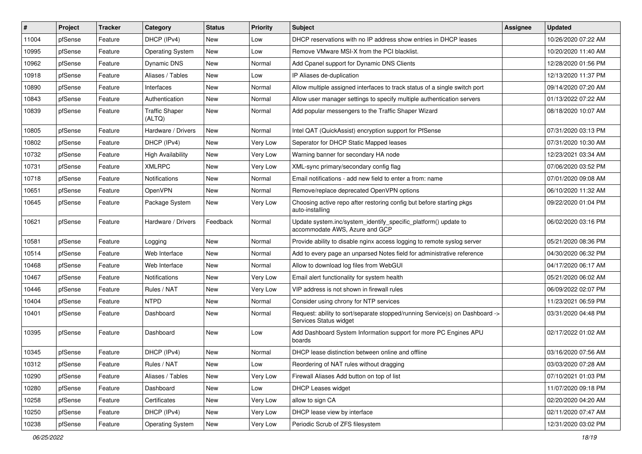| $\vert$ # | Project | <b>Tracker</b> | Category                        | <b>Status</b> | <b>Priority</b> | <b>Subject</b>                                                                                         | <b>Assignee</b> | <b>Updated</b>      |
|-----------|---------|----------------|---------------------------------|---------------|-----------------|--------------------------------------------------------------------------------------------------------|-----------------|---------------------|
| 11004     | pfSense | Feature        | DHCP (IPv4)                     | New           | Low             | DHCP reservations with no IP address show entries in DHCP leases                                       |                 | 10/26/2020 07:22 AM |
| 10995     | pfSense | Feature        | <b>Operating System</b>         | New           | Low             | Remove VMware MSI-X from the PCI blacklist.                                                            |                 | 10/20/2020 11:40 AM |
| 10962     | pfSense | Feature        | Dynamic DNS                     | New           | Normal          | Add Cpanel support for Dynamic DNS Clients                                                             |                 | 12/28/2020 01:56 PM |
| 10918     | pfSense | Feature        | Aliases / Tables                | New           | Low             | IP Aliases de-duplication                                                                              |                 | 12/13/2020 11:37 PM |
| 10890     | pfSense | Feature        | Interfaces                      | New           | Normal          | Allow multiple assigned interfaces to track status of a single switch port                             |                 | 09/14/2020 07:20 AM |
| 10843     | pfSense | Feature        | Authentication                  | New           | Normal          | Allow user manager settings to specify multiple authentication servers                                 |                 | 01/13/2022 07:22 AM |
| 10839     | pfSense | Feature        | <b>Traffic Shaper</b><br>(ALTQ) | New           | Normal          | Add popular messengers to the Traffic Shaper Wizard                                                    |                 | 08/18/2020 10:07 AM |
| 10805     | pfSense | Feature        | Hardware / Drivers              | New           | Normal          | Intel QAT (QuickAssist) encryption support for PfSense                                                 |                 | 07/31/2020 03:13 PM |
| 10802     | pfSense | Feature        | DHCP (IPv4)                     | New           | Very Low        | Seperator for DHCP Static Mapped leases                                                                |                 | 07/31/2020 10:30 AM |
| 10732     | pfSense | Feature        | <b>High Availability</b>        | New           | Very Low        | Warning banner for secondary HA node                                                                   |                 | 12/23/2021 03:34 AM |
| 10731     | pfSense | Feature        | <b>XMLRPC</b>                   | New           | Very Low        | XML-sync primary/secondary config flag                                                                 |                 | 07/06/2020 03:52 PM |
| 10718     | pfSense | Feature        | <b>Notifications</b>            | New           | Normal          | Email notifications - add new field to enter a from: name                                              |                 | 07/01/2020 09:08 AM |
| 10651     | pfSense | Feature        | <b>OpenVPN</b>                  | New           | Normal          | Remove/replace deprecated OpenVPN options                                                              |                 | 06/10/2020 11:32 AM |
| 10645     | pfSense | Feature        | Package System                  | New           | Very Low        | Choosing active repo after restoring config but before starting pkgs<br>auto-installing                |                 | 09/22/2020 01:04 PM |
| 10621     | pfSense | Feature        | Hardware / Drivers              | Feedback      | Normal          | Update system.inc/system_identify_specific_platform() update to<br>accommodate AWS, Azure and GCP      |                 | 06/02/2020 03:16 PM |
| 10581     | pfSense | Feature        | Logging                         | New           | Normal          | Provide ability to disable nginx access logging to remote syslog server                                |                 | 05/21/2020 08:36 PM |
| 10514     | pfSense | Feature        | Web Interface                   | New           | Normal          | Add to every page an unparsed Notes field for administrative reference                                 |                 | 04/30/2020 06:32 PM |
| 10468     | pfSense | Feature        | Web Interface                   | New           | Normal          | Allow to download log files from WebGUI                                                                |                 | 04/17/2020 06:17 AM |
| 10467     | pfSense | Feature        | <b>Notifications</b>            | New           | Very Low        | Email alert functionality for system health                                                            |                 | 05/21/2020 06:02 AM |
| 10446     | pfSense | Feature        | Rules / NAT                     | New           | Very Low        | VIP address is not shown in firewall rules                                                             |                 | 06/09/2022 02:07 PM |
| 10404     | pfSense | Feature        | <b>NTPD</b>                     | New           | Normal          | Consider using chrony for NTP services                                                                 |                 | 11/23/2021 06:59 PM |
| 10401     | pfSense | Feature        | Dashboard                       | New           | Normal          | Request: ability to sort/separate stopped/running Service(s) on Dashboard -><br>Services Status widget |                 | 03/31/2020 04:48 PM |
| 10395     | pfSense | Feature        | Dashboard                       | New           | Low             | Add Dashboard System Information support for more PC Engines APU<br>boards                             |                 | 02/17/2022 01:02 AM |
| 10345     | pfSense | Feature        | DHCP (IPv4)                     | New           | Normal          | DHCP lease distinction between online and offline                                                      |                 | 03/16/2020 07:56 AM |
| 10312     | pfSense | Feature        | Rules / NAT                     | New           | Low             | Reordering of NAT rules without dragging                                                               |                 | 03/03/2020 07:28 AM |
| 10290     | pfSense | Feature        | Aliases / Tables                | New           | Very Low        | Firewall Aliases Add button on top of list                                                             |                 | 07/10/2021 01:03 PM |
| 10280     | pfSense | Feature        | Dashboard                       | New           | Low             | <b>DHCP Leases widget</b>                                                                              |                 | 11/07/2020 09:18 PM |
| 10258     | pfSense | Feature        | Certificates                    | New           | Very Low        | allow to sign CA                                                                                       |                 | 02/20/2020 04:20 AM |
| 10250     | pfSense | Feature        | DHCP (IPv4)                     | New           | Very Low        | DHCP lease view by interface                                                                           |                 | 02/11/2020 07:47 AM |
| 10238     | pfSense | Feature        | <b>Operating System</b>         | New           | Very Low        | Periodic Scrub of ZFS filesystem                                                                       |                 | 12/31/2020 03:02 PM |